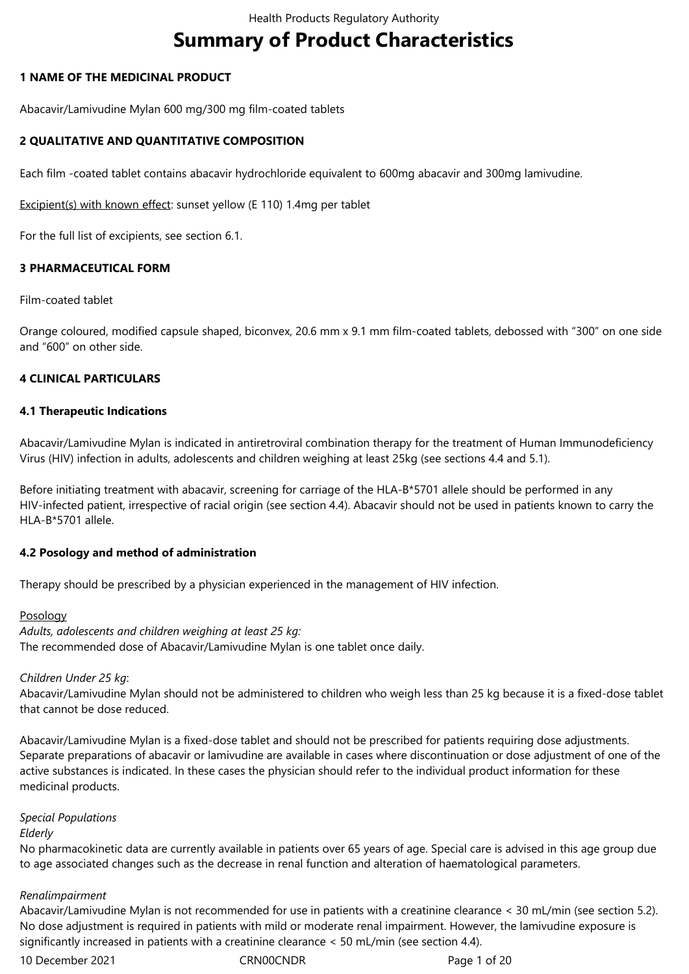# **Summary of Product Characteristics**

# **1 NAME OF THE MEDICINAL PRODUCT**

Abacavir/Lamivudine Mylan 600 mg/300 mg film-coated tablets

# **2 QUALITATIVE AND QUANTITATIVE COMPOSITION**

Each film -coated tablet contains abacavir hydrochloride equivalent to 600mg abacavir and 300mg lamivudine.

Excipient(s) with known effect: sunset yellow (E 110) 1.4mg per tablet

For the full list of excipients, see section 6.1.

# **3 PHARMACEUTICAL FORM**

## Film-coated tablet

Orange coloured, modified capsule shaped, biconvex, 20.6 mm x 9.1 mm film-coated tablets, debossed with "300" on one side and "600" on other side.

# **4 CLINICAL PARTICULARS**

# **4.1 Therapeutic Indications**

Abacavir/Lamivudine Mylan is indicated in antiretroviral combination therapy for the treatment of Human Immunodeficiency Virus (HIV) infection in adults, adolescents and children weighing at least 25kg (see sections 4.4 and 5.1).

Before initiating treatment with abacavir, screening for carriage of the HLA-B\*5701 allele should be performed in any HIV-infected patient, irrespective of racial origin (see section 4.4). Abacavir should not be used in patients known to carry the  $HI A-R*5701$  allele.

## **4.2 Posology and method of administration**

Therapy should be prescribed by a physician experienced in the management of HIV infection.

## Posology

*Adults, adolescents and children weighing at least 25 kg:* The recommended dose of Abacavir/Lamivudine Mylan is one tablet once daily.

## *Children Under 25 kg*:

Abacavir/Lamivudine Mylan should not be administered to children who weigh less than 25 kg because it is a fixed-dose tablet that cannot be dose reduced.

Abacavir/Lamivudine Mylan is a fixed-dose tablet and should not be prescribed for patients requiring dose adjustments. Separate preparations of abacavir or lamivudine are available in cases where discontinuation or dose adjustment of one of the active substances is indicated. In these cases the physician should refer to the individual product information for these medicinal products.

## *Special Populations*

# *Elderly*

No pharmacokinetic data are currently available in patients over 65 years of age. Special care is advised in this age group due to age associated changes such as the decrease in renal function and alteration of haematological parameters.

## *Renalimpairment*

Abacavir/Lamivudine Mylan is not recommended for use in patients with a creatinine clearance < 30 mL/min (see section 5.2). No dose adjustment is required in patients with mild or moderate renal impairment. However, the lamivudine exposure is significantly increased in patients with a creatinine clearance < 50 mL/min (see section 4.4).

10 December 2021 **CRNOOCNDR** Page 1 of 20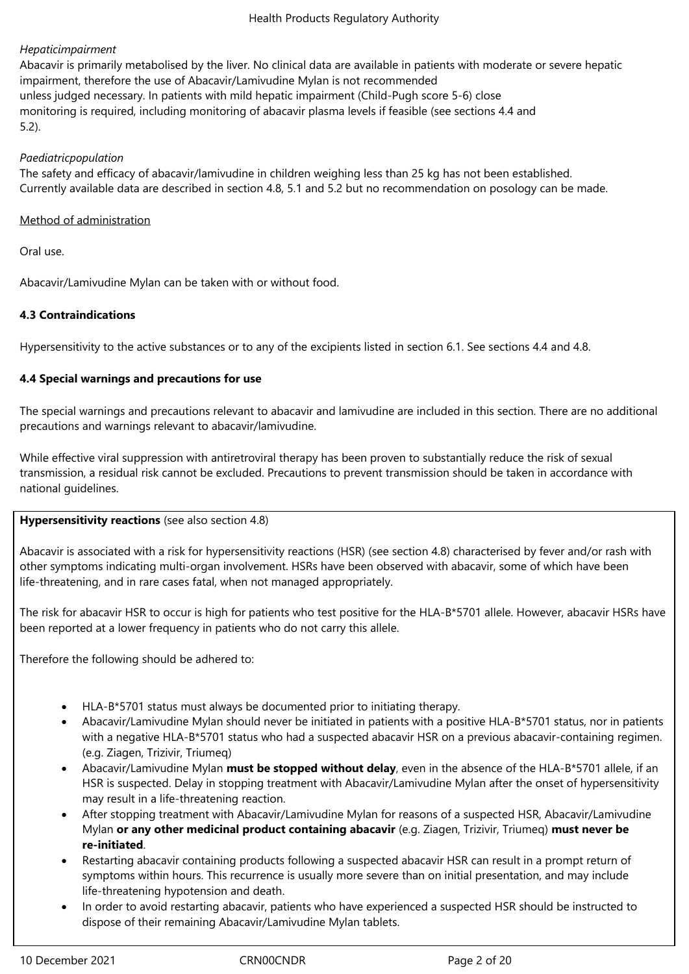# *Hepaticimpairment*

Abacavir is primarily metabolised by the liver. No clinical data are available in patients with moderate or severe hepatic impairment, therefore the use of Abacavir/Lamivudine Mylan is not recommended unless judged necessary. In patients with mild hepatic impairment (Child-Pugh score 5-6) close monitoring is required, including monitoring of abacavir plasma levels if feasible (see sections 4.4 and 5.2).

## *Paediatricpopulation*

The safety and efficacy of abacavir/lamivudine in children weighing less than 25 kg has not been established. Currently available data are described in section 4.8, 5.1 and 5.2 but no recommendation on posology can be made.

# Method of administration

Oral use.

Abacavir/Lamivudine Mylan can be taken with or without food.

# **4.3 Contraindications**

Hypersensitivity to the active substances or to any of the excipients listed in section 6.1. See sections 4.4 and 4.8.

# **4.4 Special warnings and precautions for use**

The special warnings and precautions relevant to abacavir and lamivudine are included in this section. There are no additional precautions and warnings relevant to abacavir/lamivudine.

While effective viral suppression with antiretroviral therapy has been proven to substantially reduce the risk of sexual transmission, a residual risk cannot be excluded. Precautions to prevent transmission should be taken in accordance with national guidelines.

# **Hypersensitivity reactions** (see also section 4.8)

Abacavir is associated with a risk for hypersensitivity reactions (HSR) (see section 4.8) characterised by fever and/or rash with other symptoms indicating multi-organ involvement. HSRs have been observed with abacavir, some of which have been life-threatening, and in rare cases fatal, when not managed appropriately.

The risk for abacavir HSR to occur is high for patients who test positive for the HLA-B\*5701 allele. However, abacavir HSRs have been reported at a lower frequency in patients who do not carry this allele.

Therefore the following should be adhered to:

- HLA-B\*5701 status must always be documented prior to initiating therapy.
- Abacavir/Lamivudine Mylan should never be initiated in patients with a positive HLA-B\*5701 status, nor in patients with a negative HLA-B\*5701 status who had a suspected abacavir HSR on a previous abacavir-containing regimen. (e.g. Ziagen, Trizivir, Triumeq)
- Abacavir/Lamivudine Mylan **must be stopped without delay**, even in the absence of the HLA-B\*5701 allele, if an HSR is suspected. Delay in stopping treatment with Abacavir/Lamivudine Mylan after the onset of hypersensitivity may result in a life-threatening reaction.
- After stopping treatment with Abacavir/Lamivudine Mylan for reasons of a suspected HSR, Abacavir/Lamivudine Mylan **or any other medicinal product containing abacavir** (e.g. Ziagen, Trizivir, Triumeq) **must never be re-initiated**.
- Restarting abacavir containing products following a suspected abacavir HSR can result in a prompt return of symptoms within hours. This recurrence is usually more severe than on initial presentation, and may include life-threatening hypotension and death.
- In order to avoid restarting abacavir, patients who have experienced a suspected HSR should be instructed to dispose of their remaining Abacavir/Lamivudine Mylan tablets.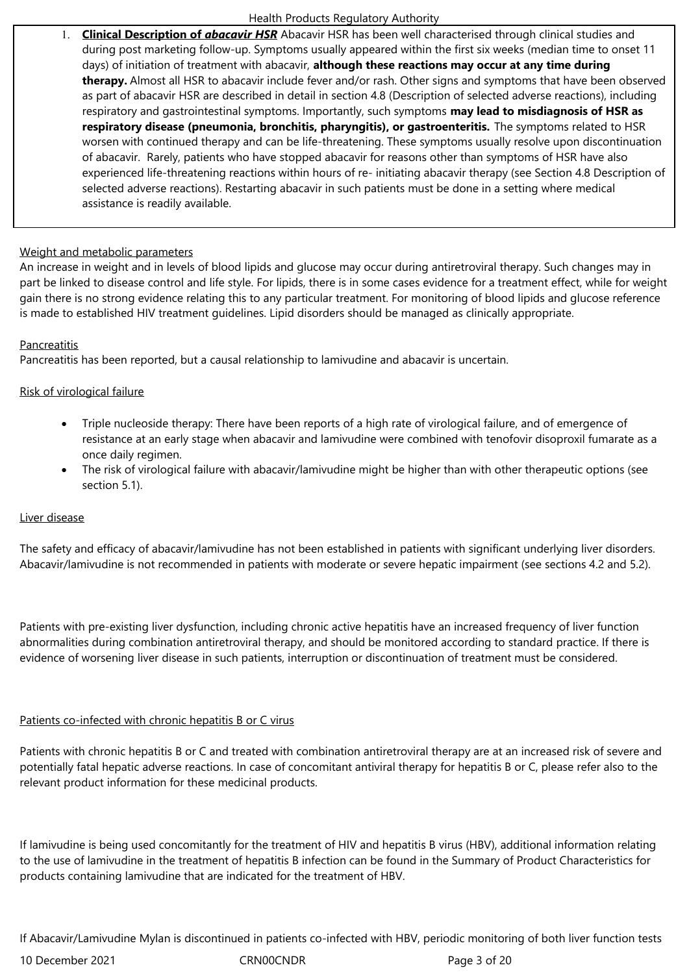1. **Clinical Description of** *abacavir HSR* Abacavir HSR has been well characterised through clinical studies and during post marketing follow-up. Symptoms usually appeared within the first six weeks (median time to onset 11 days) of initiation of treatment with abacavir, **although these reactions may occur at any time during therapy.** Almost all HSR to abacavir include fever and/or rash. Other signs and symptoms that have been observed as part of abacavir HSR are described in detail in section 4.8 (Description of selected adverse reactions), including respiratory and gastrointestinal symptoms. Importantly, such symptoms **may lead to misdiagnosis of HSR as respiratory disease (pneumonia, bronchitis, pharyngitis), or gastroenteritis.** The symptoms related to HSR worsen with continued therapy and can be life-threatening. These symptoms usually resolve upon discontinuation of abacavir. Rarely, patients who have stopped abacavir for reasons other than symptoms of HSR have also experienced life-threatening reactions within hours of re- initiating abacavir therapy (see Section 4.8 Description of selected adverse reactions). Restarting abacavir in such patients must be done in a setting where medical assistance is readily available.

## Weight and metabolic parameters

An increase in weight and in levels of blood lipids and glucose may occur during antiretroviral therapy. Such changes may in part be linked to disease control and life style. For lipids, there is in some cases evidence for a treatment effect, while for weight gain there is no strong evidence relating this to any particular treatment. For monitoring of blood lipids and glucose reference is made to established HIV treatment guidelines. Lipid disorders should be managed as clinically appropriate.

# Pancreatitis

Pancreatitis has been reported, but a causal relationship to lamivudine and abacavir is uncertain.

# Risk of virological failure

- Triple nucleoside therapy: There have been reports of a high rate of virological failure, and of emergence of resistance at an early stage when abacavir and lamivudine were combined with tenofovir disoproxil fumarate as a once daily regimen.
- The risk of virological failure with abacavir/lamivudine might be higher than with other therapeutic options (see section 5.1).

## Liver disease

The safety and efficacy of abacavir/lamivudine has not been established in patients with significant underlying liver disorders. Abacavir/lamivudine is not recommended in patients with moderate or severe hepatic impairment (see sections 4.2 and 5.2).

Patients with pre-existing liver dysfunction, including chronic active hepatitis have an increased frequency of liver function abnormalities during combination antiretroviral therapy, and should be monitored according to standard practice. If there is evidence of worsening liver disease in such patients, interruption or discontinuation of treatment must be considered.

## Patients co-infected with chronic hepatitis B or C virus

Patients with chronic hepatitis B or C and treated with combination antiretroviral therapy are at an increased risk of severe and potentially fatal hepatic adverse reactions. In case of concomitant antiviral therapy for hepatitis B or C, please refer also to the relevant product information for these medicinal products.

If lamivudine is being used concomitantly for the treatment of HIV and hepatitis B virus (HBV), additional information relating to the use of lamivudine in the treatment of hepatitis B infection can be found in the Summary of Product Characteristics for products containing lamivudine that are indicated for the treatment of HBV.

If Abacavir/Lamivudine Mylan is discontinued in patients co-infected with HBV, periodic monitoring of both liver function tests

10 December 2021 CRN00CNDR Page 3 of 20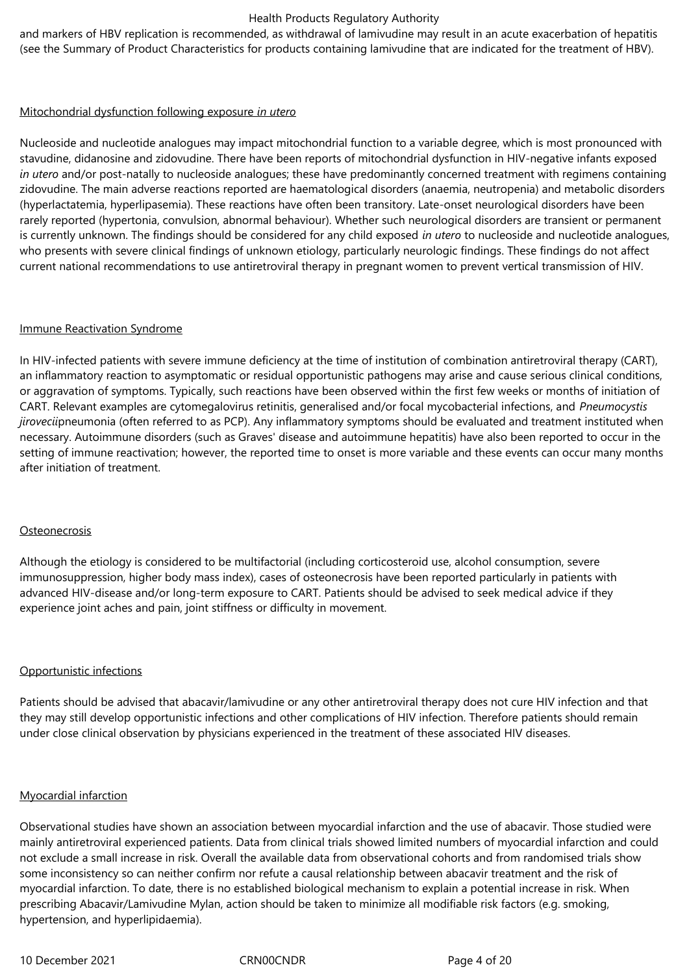and markers of HBV replication is recommended, as withdrawal of lamivudine may result in an acute exacerbation of hepatitis (see the Summary of Product Characteristics for products containing lamivudine that are indicated for the treatment of HBV).

## Mitochondrial dysfunction following exposure *in utero*

Nucleoside and nucleotide analogues may impact mitochondrial function to a variable degree, which is most pronounced with stavudine, didanosine and zidovudine. There have been reports of mitochondrial dysfunction in HIV‑negative infants exposed *in utero* and/or post-natally to nucleoside analogues; these have predominantly concerned treatment with regimens containing zidovudine. The main adverse reactions reported are haematological disorders (anaemia, neutropenia) and metabolic disorders (hyperlactatemia, hyperlipasemia). These reactions have often been transitory. Late-onset neurological disorders have been rarely reported (hypertonia, convulsion, abnormal behaviour). Whether such neurological disorders are transient or permanent is currently unknown. The findings should be considered for any child exposed *in utero* to nucleoside and nucleotide analogues, who presents with severe clinical findings of unknown etiology, particularly neurologic findings. These findings do not affect current national recommendations to use antiretroviral therapy in pregnant women to prevent vertical transmission of HIV.

## Immune Reactivation Syndrome

In HIV-infected patients with severe immune deficiency at the time of institution of combination antiretroviral therapy (CART), an inflammatory reaction to asymptomatic or residual opportunistic pathogens may arise and cause serious clinical conditions, or aggravation of symptoms. Typically, such reactions have been observed within the first few weeks or months of initiation of CART. Relevant examples are cytomegalovirus retinitis, generalised and/or focal mycobacterial infections, and *Pneumocystis jirovecii*pneumonia (often referred to as PCP). Any inflammatory symptoms should be evaluated and treatment instituted when necessary. Autoimmune disorders (such as Graves' disease and autoimmune hepatitis) have also been reported to occur in the setting of immune reactivation; however, the reported time to onset is more variable and these events can occur many months after initiation of treatment.

## **Osteonecrosis**

Although the etiology is considered to be multifactorial (including corticosteroid use, alcohol consumption, severe immunosuppression, higher body mass index), cases of osteonecrosis have been reported particularly in patients with advanced HIV-disease and/or long-term exposure to CART. Patients should be advised to seek medical advice if they experience joint aches and pain, joint stiffness or difficulty in movement.

## Opportunistic infections

Patients should be advised that abacavir/lamivudine or any other antiretroviral therapy does not cure HIV infection and that they may still develop opportunistic infections and other complications of HIV infection. Therefore patients should remain under close clinical observation by physicians experienced in the treatment of these associated HIV diseases.

## Myocardial infarction

Observational studies have shown an association between myocardial infarction and the use of abacavir. Those studied were mainly antiretroviral experienced patients. Data from clinical trials showed limited numbers of myocardial infarction and could not exclude a small increase in risk. Overall the available data from observational cohorts and from randomised trials show some inconsistency so can neither confirm nor refute a causal relationship between abacavir treatment and the risk of myocardial infarction. To date, there is no established biological mechanism to explain a potential increase in risk. When prescribing Abacavir/Lamivudine Mylan, action should be taken to minimize all modifiable risk factors (e.g. smoking, hypertension, and hyperlipidaemia).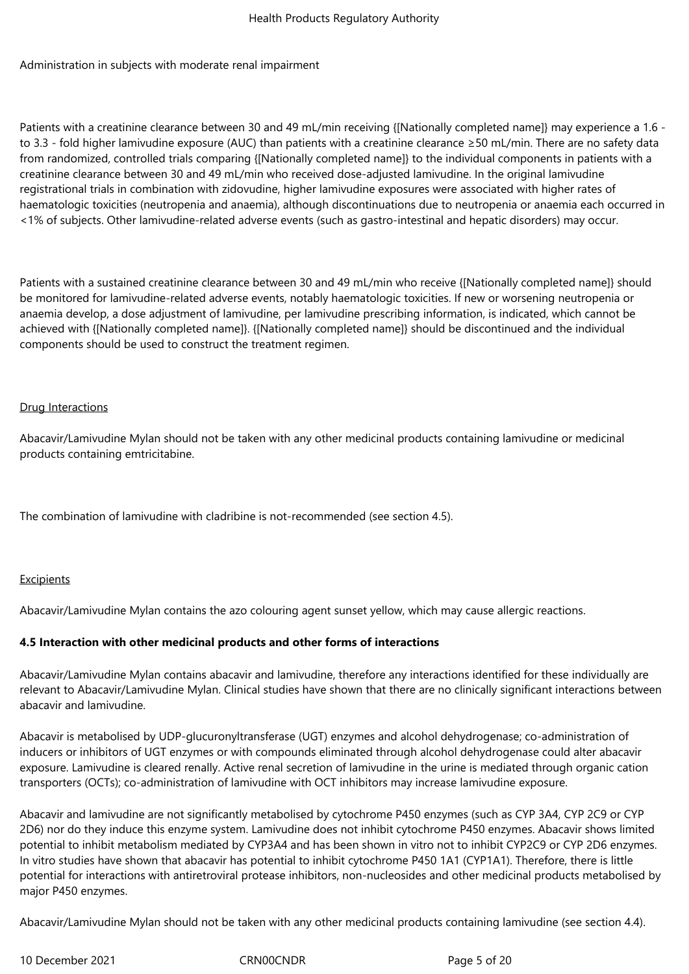Administration in subjects with moderate renal impairment

Patients with a creatinine clearance between 30 and 49 mL/min receiving {[Nationally completed name]} may experience a 1.6 to 3.3 - fold higher lamivudine exposure (AUC) than patients with a creatinine clearance ≥50 mL/min. There are no safety data from randomized, controlled trials comparing {[Nationally completed name]} to the individual components in patients with a creatinine clearance between 30 and 49 mL/min who received dose-adjusted lamivudine. In the original lamivudine registrational trials in combination with zidovudine, higher lamivudine exposures were associated with higher rates of haematologic toxicities (neutropenia and anaemia), although discontinuations due to neutropenia or anaemia each occurred in <1% of subjects. Other lamivudine-related adverse events (such as gastro-intestinal and hepatic disorders) may occur.

Patients with a sustained creatinine clearance between 30 and 49 mL/min who receive {[Nationally completed name]} should be monitored for lamivudine-related adverse events, notably haematologic toxicities. If new or worsening neutropenia or anaemia develop, a dose adjustment of lamivudine, per lamivudine prescribing information, is indicated, which cannot be achieved with {[Nationally completed name]}. {[Nationally completed name]} should be discontinued and the individual components should be used to construct the treatment regimen.

## Drug Interactions

Abacavir/Lamivudine Mylan should not be taken with any other medicinal products containing lamivudine or medicinal products containing emtricitabine.

The combination of lamivudine with cladribine is not-recommended (see section 4.5).

## Excipients

Abacavir/Lamivudine Mylan contains the azo colouring agent sunset yellow, which may cause allergic reactions.

## **4.5 Interaction with other medicinal products and other forms of interactions**

Abacavir/Lamivudine Mylan contains abacavir and lamivudine, therefore any interactions identified for these individually are relevant to Abacavir/Lamivudine Mylan. Clinical studies have shown that there are no clinically significant interactions between abacavir and lamivudine.

Abacavir is metabolised by UDP-glucuronyltransferase (UGT) enzymes and alcohol dehydrogenase; co‑administration of inducers or inhibitors of UGT enzymes or with compounds eliminated through alcohol dehydrogenase could alter abacavir exposure. Lamivudine is cleared renally. Active renal secretion of lamivudine in the urine is mediated through organic cation transporters (OCTs); co‑administration of lamivudine with OCT inhibitors may increase lamivudine exposure.

Abacavir and lamivudine are not significantly metabolised by cytochrome P450 enzymes (such as CYP 3A4, CYP 2C9 or CYP 2D6) nor do they induce this enzyme system. Lamivudine does not inhibit cytochrome P450 enzymes. Abacavir shows limited potential to inhibit metabolism mediated by CYP3A4 and has been shown in vitro not to inhibit CYP2C9 or CYP 2D6 enzymes. In vitro studies have shown that abacavir has potential to inhibit cytochrome P450 1A1 (CYP1A1). Therefore, there is little potential for interactions with antiretroviral protease inhibitors, non-nucleosides and other medicinal products metabolised by major P450 enzymes.

Abacavir/Lamivudine Mylan should not be taken with any other medicinal products containing lamivudine (see section 4.4).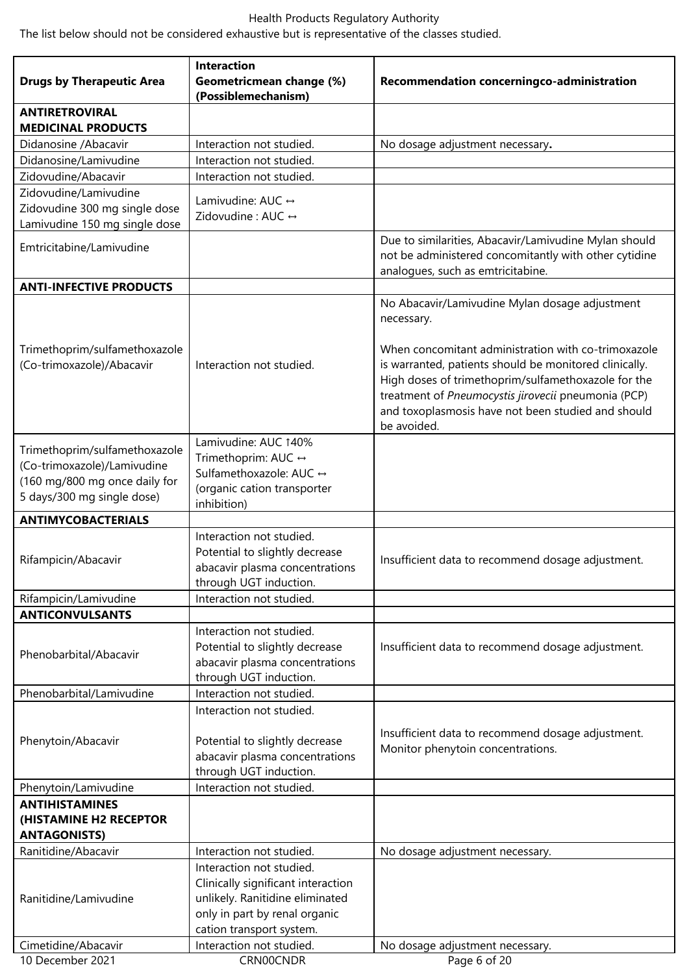The list below should not be considered exhaustive but is representative of the classes studied.

| <b>Drugs by Therapeutic Area</b>                             | <b>Interaction</b><br>Geometricmean change (%)       | Recommendation concerningco-administration                                                                                                                                                                                                                                                       |  |  |
|--------------------------------------------------------------|------------------------------------------------------|--------------------------------------------------------------------------------------------------------------------------------------------------------------------------------------------------------------------------------------------------------------------------------------------------|--|--|
|                                                              | (Possiblemechanism)                                  |                                                                                                                                                                                                                                                                                                  |  |  |
| <b>ANTIRETROVIRAL</b><br><b>MEDICINAL PRODUCTS</b>           |                                                      |                                                                                                                                                                                                                                                                                                  |  |  |
| Didanosine / Abacavir                                        | Interaction not studied.                             | No dosage adjustment necessary.                                                                                                                                                                                                                                                                  |  |  |
| Didanosine/Lamivudine                                        | Interaction not studied.                             |                                                                                                                                                                                                                                                                                                  |  |  |
| Zidovudine/Abacavir                                          | Interaction not studied.                             |                                                                                                                                                                                                                                                                                                  |  |  |
| Zidovudine/Lamivudine                                        | Lamivudine: AUC ↔                                    |                                                                                                                                                                                                                                                                                                  |  |  |
| Zidovudine 300 mg single dose                                | Zidovudine: AUC $\leftrightarrow$                    |                                                                                                                                                                                                                                                                                                  |  |  |
| Lamivudine 150 mg single dose                                |                                                      |                                                                                                                                                                                                                                                                                                  |  |  |
| Emtricitabine/Lamivudine                                     |                                                      | Due to similarities, Abacavir/Lamivudine Mylan should<br>not be administered concomitantly with other cytidine<br>analogues, such as emtricitabine.                                                                                                                                              |  |  |
| <b>ANTI-INFECTIVE PRODUCTS</b>                               |                                                      |                                                                                                                                                                                                                                                                                                  |  |  |
|                                                              |                                                      | No Abacavir/Lamivudine Mylan dosage adjustment<br>necessary.                                                                                                                                                                                                                                     |  |  |
| Trimethoprim/sulfamethoxazole<br>(Co-trimoxazole)/Abacavir   | Interaction not studied.                             | When concomitant administration with co-trimoxazole<br>is warranted, patients should be monitored clinically.<br>High doses of trimethoprim/sulfamethoxazole for the<br>treatment of Pneumocystis jirovecii pneumonia (PCP)<br>and toxoplasmosis have not been studied and should<br>be avoided. |  |  |
|                                                              | Lamivudine: AUC 140%                                 |                                                                                                                                                                                                                                                                                                  |  |  |
| Trimethoprim/sulfamethoxazole<br>(Co-trimoxazole)/Lamivudine | Trimethoprim: AUC ↔                                  |                                                                                                                                                                                                                                                                                                  |  |  |
| (160 mg/800 mg once daily for                                | Sulfamethoxazole: AUC ↔                              |                                                                                                                                                                                                                                                                                                  |  |  |
| 5 days/300 mg single dose)                                   | (organic cation transporter                          |                                                                                                                                                                                                                                                                                                  |  |  |
| <b>ANTIMYCOBACTERIALS</b>                                    | inhibition)                                          |                                                                                                                                                                                                                                                                                                  |  |  |
|                                                              | Interaction not studied.                             |                                                                                                                                                                                                                                                                                                  |  |  |
|                                                              | Potential to slightly decrease                       |                                                                                                                                                                                                                                                                                                  |  |  |
| Rifampicin/Abacavir                                          | abacavir plasma concentrations                       | Insufficient data to recommend dosage adjustment.                                                                                                                                                                                                                                                |  |  |
|                                                              | through UGT induction.                               |                                                                                                                                                                                                                                                                                                  |  |  |
| Rifampicin/Lamivudine                                        | Interaction not studied.                             |                                                                                                                                                                                                                                                                                                  |  |  |
| <b>ANTICONVULSANTS</b>                                       |                                                      |                                                                                                                                                                                                                                                                                                  |  |  |
|                                                              | Interaction not studied.                             |                                                                                                                                                                                                                                                                                                  |  |  |
| Phenobarbital/Abacavir                                       | Potential to slightly decrease                       | Insufficient data to recommend dosage adjustment.                                                                                                                                                                                                                                                |  |  |
|                                                              | abacavir plasma concentrations                       |                                                                                                                                                                                                                                                                                                  |  |  |
|                                                              | through UGT induction.                               |                                                                                                                                                                                                                                                                                                  |  |  |
| Phenobarbital/Lamivudine                                     | Interaction not studied.                             |                                                                                                                                                                                                                                                                                                  |  |  |
|                                                              | Interaction not studied.                             |                                                                                                                                                                                                                                                                                                  |  |  |
| Phenytoin/Abacavir                                           | Potential to slightly decrease                       | Insufficient data to recommend dosage adjustment.                                                                                                                                                                                                                                                |  |  |
|                                                              | abacavir plasma concentrations                       | Monitor phenytoin concentrations.                                                                                                                                                                                                                                                                |  |  |
|                                                              | through UGT induction.                               |                                                                                                                                                                                                                                                                                                  |  |  |
| Phenytoin/Lamivudine                                         | Interaction not studied.                             |                                                                                                                                                                                                                                                                                                  |  |  |
| <b>ANTIHISTAMINES</b>                                        |                                                      |                                                                                                                                                                                                                                                                                                  |  |  |
| (HISTAMINE H2 RECEPTOR<br><b>ANTAGONISTS)</b>                |                                                      |                                                                                                                                                                                                                                                                                                  |  |  |
| Ranitidine/Abacavir                                          | Interaction not studied.                             | No dosage adjustment necessary.                                                                                                                                                                                                                                                                  |  |  |
|                                                              | Interaction not studied.                             |                                                                                                                                                                                                                                                                                                  |  |  |
|                                                              | Clinically significant interaction                   |                                                                                                                                                                                                                                                                                                  |  |  |
| Ranitidine/Lamivudine                                        | unlikely. Ranitidine eliminated                      |                                                                                                                                                                                                                                                                                                  |  |  |
|                                                              | only in part by renal organic                        |                                                                                                                                                                                                                                                                                                  |  |  |
| Cimetidine/Abacavir                                          | cation transport system.<br>Interaction not studied. | No dosage adjustment necessary.                                                                                                                                                                                                                                                                  |  |  |
| 10 December 2021                                             | CRN00CNDR                                            | Page 6 of 20                                                                                                                                                                                                                                                                                     |  |  |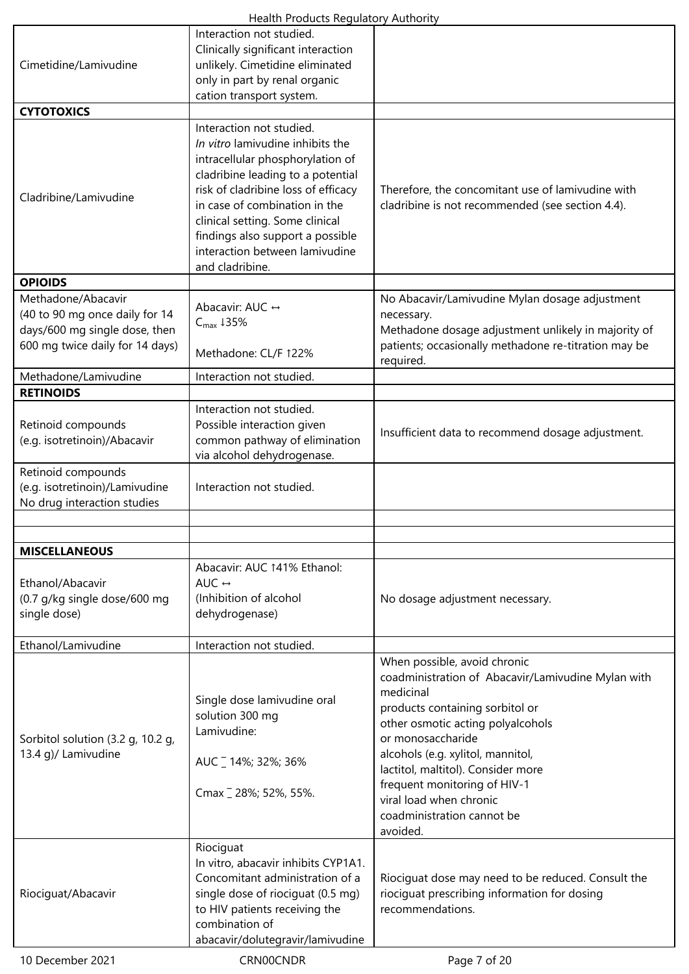|                                                                                     | Interaction not studied.<br>Clinically significant interaction                                                                                                                                                                                                                                                                            |                                                                                                                                                                                                                                                                                                                                                                              |
|-------------------------------------------------------------------------------------|-------------------------------------------------------------------------------------------------------------------------------------------------------------------------------------------------------------------------------------------------------------------------------------------------------------------------------------------|------------------------------------------------------------------------------------------------------------------------------------------------------------------------------------------------------------------------------------------------------------------------------------------------------------------------------------------------------------------------------|
| Cimetidine/Lamivudine                                                               | unlikely. Cimetidine eliminated                                                                                                                                                                                                                                                                                                           |                                                                                                                                                                                                                                                                                                                                                                              |
|                                                                                     | only in part by renal organic<br>cation transport system.                                                                                                                                                                                                                                                                                 |                                                                                                                                                                                                                                                                                                                                                                              |
| <b>CYTOTOXICS</b>                                                                   |                                                                                                                                                                                                                                                                                                                                           |                                                                                                                                                                                                                                                                                                                                                                              |
| Cladribine/Lamivudine                                                               | Interaction not studied.<br>In vitro lamivudine inhibits the<br>intracellular phosphorylation of<br>cladribine leading to a potential<br>risk of cladribine loss of efficacy<br>in case of combination in the<br>clinical setting. Some clinical<br>findings also support a possible<br>interaction between lamivudine<br>and cladribine. | Therefore, the concomitant use of lamivudine with<br>cladribine is not recommended (see section 4.4).                                                                                                                                                                                                                                                                        |
| <b>OPIOIDS</b>                                                                      |                                                                                                                                                                                                                                                                                                                                           |                                                                                                                                                                                                                                                                                                                                                                              |
| Methadone/Abacavir<br>(40 to 90 mg once daily for 14                                | Abacavir: AUC ↔                                                                                                                                                                                                                                                                                                                           | No Abacavir/Lamivudine Mylan dosage adjustment<br>necessary.                                                                                                                                                                                                                                                                                                                 |
| days/600 mg single dose, then                                                       | $C_{\text{max}}$ 435%                                                                                                                                                                                                                                                                                                                     | Methadone dosage adjustment unlikely in majority of                                                                                                                                                                                                                                                                                                                          |
| 600 mg twice daily for 14 days)                                                     | Methadone: CL/F 122%                                                                                                                                                                                                                                                                                                                      | patients; occasionally methadone re-titration may be<br>required.                                                                                                                                                                                                                                                                                                            |
| Methadone/Lamivudine                                                                | Interaction not studied.                                                                                                                                                                                                                                                                                                                  |                                                                                                                                                                                                                                                                                                                                                                              |
| <b>RETINOIDS</b>                                                                    |                                                                                                                                                                                                                                                                                                                                           |                                                                                                                                                                                                                                                                                                                                                                              |
| Retinoid compounds<br>(e.g. isotretinoin)/Abacavir                                  | Interaction not studied.<br>Possible interaction given<br>common pathway of elimination<br>via alcohol dehydrogenase.                                                                                                                                                                                                                     | Insufficient data to recommend dosage adjustment.                                                                                                                                                                                                                                                                                                                            |
| Retinoid compounds<br>(e.g. isotretinoin)/Lamivudine<br>No drug interaction studies | Interaction not studied.                                                                                                                                                                                                                                                                                                                  |                                                                                                                                                                                                                                                                                                                                                                              |
|                                                                                     |                                                                                                                                                                                                                                                                                                                                           |                                                                                                                                                                                                                                                                                                                                                                              |
| <b>MISCELLANEOUS</b>                                                                |                                                                                                                                                                                                                                                                                                                                           |                                                                                                                                                                                                                                                                                                                                                                              |
|                                                                                     | Abacavir: AUC 141% Ethanol:                                                                                                                                                                                                                                                                                                               |                                                                                                                                                                                                                                                                                                                                                                              |
| Ethanol/Abacavir<br>(0.7 g/kg single dose/600 mg<br>single dose)                    | AUC $\leftrightarrow$<br>(Inhibition of alcohol<br>dehydrogenase)                                                                                                                                                                                                                                                                         | No dosage adjustment necessary.                                                                                                                                                                                                                                                                                                                                              |
| Ethanol/Lamivudine                                                                  | Interaction not studied.                                                                                                                                                                                                                                                                                                                  |                                                                                                                                                                                                                                                                                                                                                                              |
| Sorbitol solution (3.2 g, 10.2 g,<br>13.4 g)/ Lamivudine                            | Single dose lamivudine oral<br>solution 300 mg<br>Lamivudine:<br>AUC _ 14%; 32%; 36%<br>Cmax 28%; 52%, 55%.                                                                                                                                                                                                                               | When possible, avoid chronic<br>coadministration of Abacavir/Lamivudine Mylan with<br>medicinal<br>products containing sorbitol or<br>other osmotic acting polyalcohols<br>or monosaccharide<br>alcohols (e.g. xylitol, mannitol,<br>lactitol, maltitol). Consider more<br>frequent monitoring of HIV-1<br>viral load when chronic<br>coadministration cannot be<br>avoided. |
|                                                                                     | Riociguat                                                                                                                                                                                                                                                                                                                                 |                                                                                                                                                                                                                                                                                                                                                                              |
| Riociguat/Abacavir                                                                  | In vitro, abacavir inhibits CYP1A1.<br>Concomitant administration of a<br>single dose of riociguat (0.5 mg)<br>to HIV patients receiving the<br>combination of<br>abacavir/dolutegravir/lamivudine                                                                                                                                        | Riociguat dose may need to be reduced. Consult the<br>riociguat prescribing information for dosing<br>recommendations.                                                                                                                                                                                                                                                       |
| 10 December 2021                                                                    | CRN00CNDR                                                                                                                                                                                                                                                                                                                                 | Page 7 of 20                                                                                                                                                                                                                                                                                                                                                                 |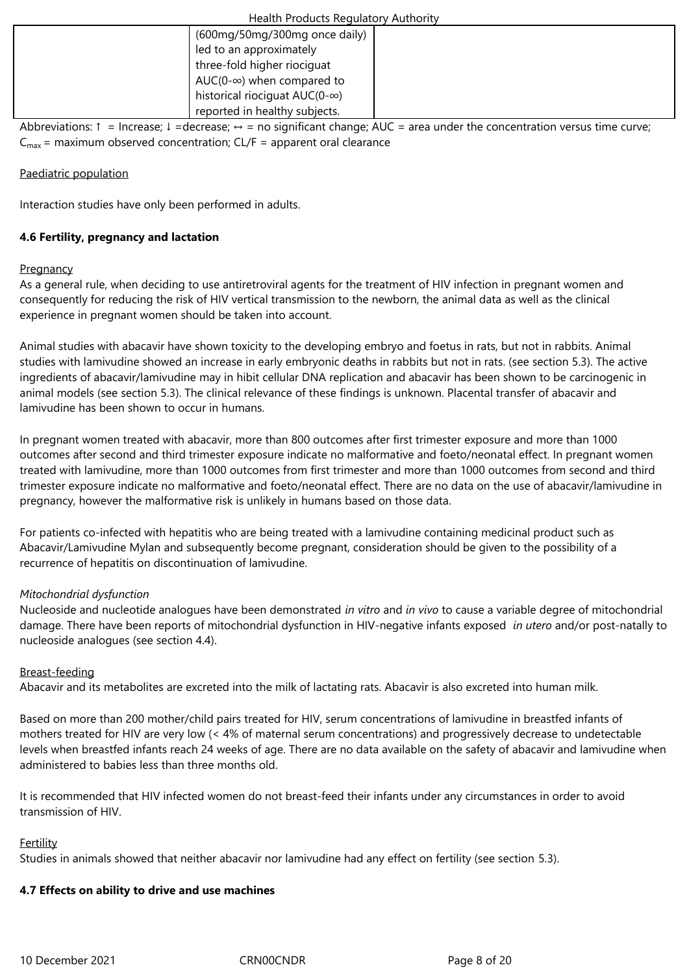|                             | (600mg/50mg/300mg once daily)                                                                                                                                                                                                    |
|-----------------------------|----------------------------------------------------------------------------------------------------------------------------------------------------------------------------------------------------------------------------------|
| led to an approximately     |                                                                                                                                                                                                                                  |
| three-fold higher riociquat |                                                                                                                                                                                                                                  |
|                             | AUC(0- $\infty$ ) when compared to                                                                                                                                                                                               |
|                             | historical riociquat $AUC(0-\infty)$                                                                                                                                                                                             |
|                             | reported in healthy subjects.                                                                                                                                                                                                    |
| . 1                         | and the Contract of the second state of the second state of the second state of the second state of the second<br>re de entre de la decida de la característica de la característica de la característica de la característica d |

Abbreviations: ↑ = Increase; ↓ = decrease; ↔ = no significant change; AUC = area under the concentration versus time curve;  $C_{\text{max}}$  = maximum observed concentration; CL/F = apparent oral clearance

# Paediatric population

Interaction studies have only been performed in adults.

# **4.6 Fertility, pregnancy and lactation**

# **Pregnancy**

As a general rule, when deciding to use antiretroviral agents for the treatment of HIV infection in pregnant women and consequently for reducing the risk of HIV vertical transmission to the newborn, the animal data as well as the clinical experience in pregnant women should be taken into account.

Animal studies with abacavir have shown toxicity to the developing embryo and foetus in rats, but not in rabbits. Animal studies with lamivudine showed an increase in early embryonic deaths in rabbits but not in rats. (see section 5.3). The active ingredients of abacavir/lamivudine may in hibit cellular DNA replication and abacavir has been shown to be carcinogenic in animal models (see section 5.3). The clinical relevance of these findings is unknown. Placental transfer of abacavir and lamivudine has been shown to occur in humans.

In pregnant women treated with abacavir, more than 800 outcomes after first trimester exposure and more than 1000 outcomes after second and third trimester exposure indicate no malformative and foeto/neonatal effect. In pregnant women treated with lamivudine, more than 1000 outcomes from first trimester and more than 1000 outcomes from second and third trimester exposure indicate no malformative and foeto/neonatal effect. There are no data on the use of abacavir/lamivudine in pregnancy, however the malformative risk is unlikely in humans based on those data.

For patients co-infected with hepatitis who are being treated with a lamivudine containing medicinal product such as Abacavir/Lamivudine Mylan and subsequently become pregnant, consideration should be given to the possibility of a recurrence of hepatitis on discontinuation of lamivudine.

# *Mitochondrial dysfunction*

Nucleoside and nucleotide analogues have been demonstrated *in vitro* and *in vivo* to cause a variable degree of mitochondrial damage. There have been reports of mitochondrial dysfunction in HIV‑negative infants exposed *in utero* and/or post-natally to nucleoside analogues (see section 4.4).

# Breast-feeding

Abacavir and its metabolites are excreted into the milk of lactating rats. Abacavir is also excreted into human milk.

Based on more than 200 mother/child pairs treated for HIV, serum concentrations of lamivudine in breastfed infants of mothers treated for HIV are very low (< 4% of maternal serum concentrations) and progressively decrease to undetectable levels when breastfed infants reach 24 weeks of age. There are no data available on the safety of abacavir and lamivudine when administered to babies less than three months old.

It is recommended that HIV infected women do not breast-feed their infants under any circumstances in order to avoid transmission of HIV.

## Fertility

Studies in animals showed that neither abacavir nor lamivudine had any effect on fertility (see section 5.3).

## **4.7 Effects on ability to drive and use machines**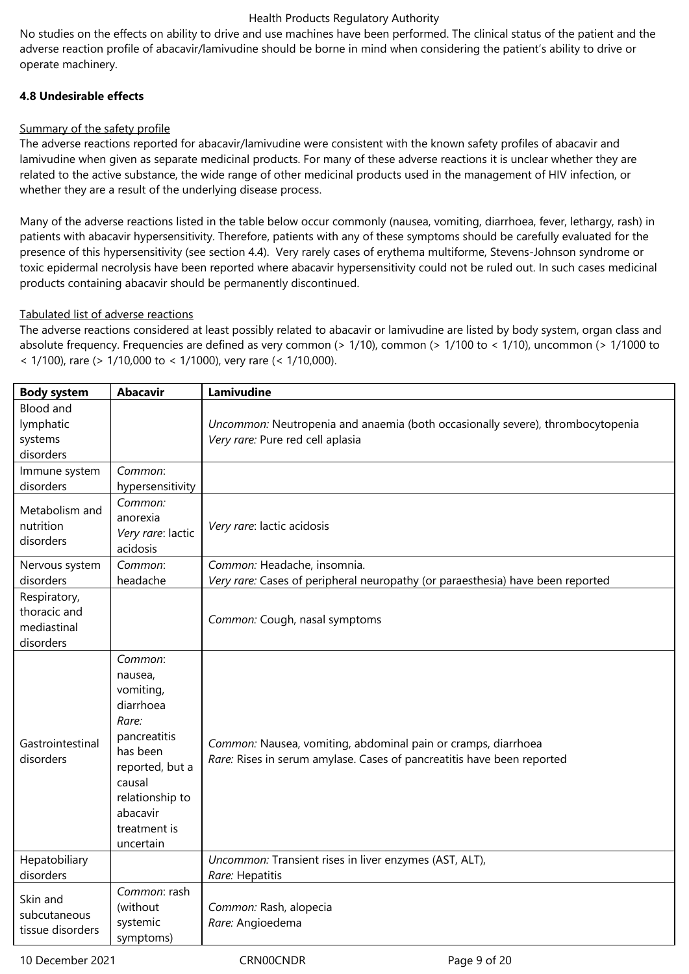No studies on the effects on ability to drive and use machines have been performed. The clinical status of the patient and the adverse reaction profile of abacavir/lamivudine should be borne in mind when considering the patient's ability to drive or operate machinery.

# **4.8 Undesirable effects**

# Summary of the safety profile

The adverse reactions reported for abacavir/lamivudine were consistent with the known safety profiles of abacavir and lamivudine when given as separate medicinal products. For many of these adverse reactions it is unclear whether they are related to the active substance, the wide range of other medicinal products used in the management of HIV infection, or whether they are a result of the underlying disease process.

Many of the adverse reactions listed in the table below occur commonly (nausea, vomiting, diarrhoea, fever, lethargy, rash) in patients with abacavir hypersensitivity. Therefore, patients with any of these symptoms should be carefully evaluated for the presence of this hypersensitivity (see section 4.4). Very rarely cases of erythema multiforme, Stevens‑Johnson syndrome or toxic epidermal necrolysis have been reported where abacavir hypersensitivity could not be ruled out. In such cases medicinal products containing abacavir should be permanently discontinued.

# Tabulated list of adverse reactions

The adverse reactions considered at least possibly related to abacavir or lamivudine are listed by body system, organ class and absolute frequency. Frequencies are defined as very common (> 1/10), common (> 1/100 to < 1/10), uncommon (> 1/1000 to < 1/100), rare (> 1/10,000 to < 1/1000), very rare (< 1/10,000).

| <b>Body system</b>                                       | <b>Abacavir</b>                                                                                                                                                            | Lamivudine                                                                                                                              |
|----------------------------------------------------------|----------------------------------------------------------------------------------------------------------------------------------------------------------------------------|-----------------------------------------------------------------------------------------------------------------------------------------|
| <b>Blood and</b><br>lymphatic                            |                                                                                                                                                                            | Uncommon: Neutropenia and anaemia (both occasionally severe), thrombocytopenia                                                          |
| systems                                                  |                                                                                                                                                                            | Very rare: Pure red cell aplasia                                                                                                        |
| disorders                                                |                                                                                                                                                                            |                                                                                                                                         |
| Immune system                                            | Common:                                                                                                                                                                    |                                                                                                                                         |
| disorders                                                | hypersensitivity                                                                                                                                                           |                                                                                                                                         |
| Metabolism and<br>nutrition<br>disorders                 | Common:<br>anorexia<br>Very rare: lactic<br>acidosis                                                                                                                       | Very rare: lactic acidosis                                                                                                              |
| Nervous system                                           | Common:                                                                                                                                                                    | Common: Headache, insomnia.                                                                                                             |
| disorders                                                | headache                                                                                                                                                                   | Very rare: Cases of peripheral neuropathy (or paraesthesia) have been reported                                                          |
| Respiratory,<br>thoracic and<br>mediastinal<br>disorders |                                                                                                                                                                            | Common: Cough, nasal symptoms                                                                                                           |
| Gastrointestinal<br>disorders                            | Common:<br>nausea,<br>vomiting,<br>diarrhoea<br>Rare:<br>pancreatitis<br>has been<br>reported, but a<br>causal<br>relationship to<br>abacavir<br>treatment is<br>uncertain | Common: Nausea, vomiting, abdominal pain or cramps, diarrhoea<br>Rare: Rises in serum amylase. Cases of pancreatitis have been reported |
| Hepatobiliary                                            |                                                                                                                                                                            | Uncommon: Transient rises in liver enzymes (AST, ALT),                                                                                  |
| disorders                                                | Common: rash                                                                                                                                                               | Rare: Hepatitis                                                                                                                         |
| Skin and<br>subcutaneous<br>tissue disorders             | (without<br>systemic<br>symptoms)                                                                                                                                          | Common: Rash, alopecia<br>Rare: Angioedema                                                                                              |

10 December 2021 **CRNOOCNDR** Page 9 of 20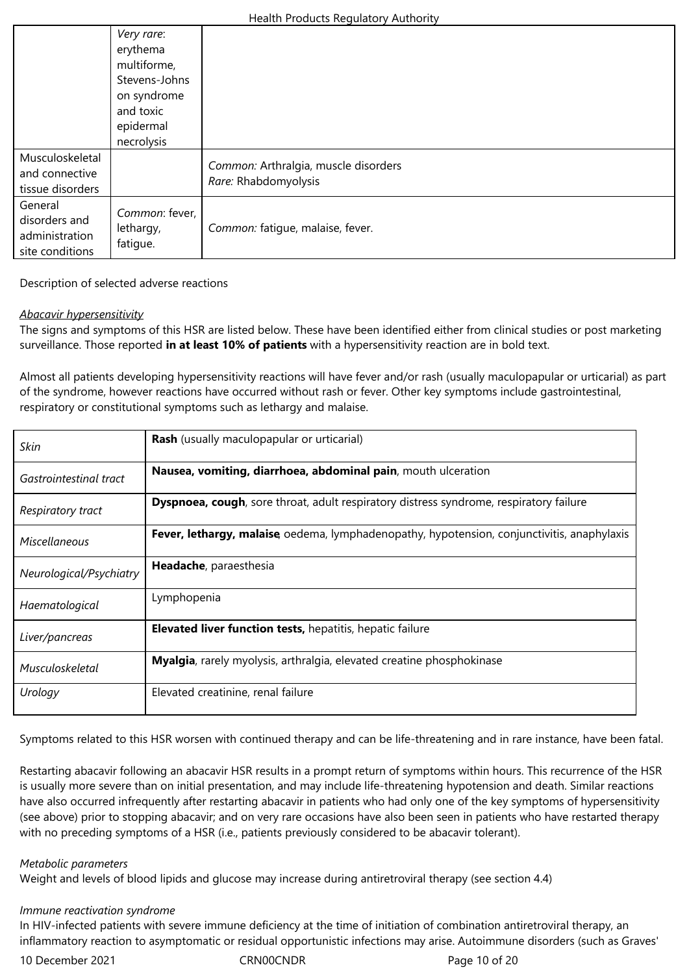|                                                               | Very rare:<br>erythema<br>multiforme,<br>Stevens-Johns<br>on syndrome<br>and toxic<br>epidermal |                                                              |
|---------------------------------------------------------------|-------------------------------------------------------------------------------------------------|--------------------------------------------------------------|
| Musculoskeletal<br>and connective<br>tissue disorders         | necrolysis                                                                                      | Common: Arthralgia, muscle disorders<br>Rare: Rhabdomyolysis |
| General<br>disorders and<br>administration<br>site conditions | Common: fever,<br>lethargy,<br>fatigue.                                                         | Common: fatigue, malaise, fever.                             |

# Description of selected adverse reactions

# *Abacavir hypersensitivity*

The signs and symptoms of this HSR are listed below. These have been identified either from clinical studies or post marketing surveillance. Those reported **in at least 10% of patients** with a hypersensitivity reaction are in bold text.

Almost all patients developing hypersensitivity reactions will have fever and/or rash (usually maculopapular or urticarial) as part of the syndrome, however reactions have occurred without rash or fever. Other key symptoms include gastrointestinal, respiratory or constitutional symptoms such as lethargy and malaise.

| Skin                    | <b>Rash</b> (usually maculopapular or urticarial)                                                 |
|-------------------------|---------------------------------------------------------------------------------------------------|
| Gastrointestinal tract  | Nausea, vomiting, diarrhoea, abdominal pain, mouth ulceration                                     |
| Respiratory tract       | <b>Dyspnoea, cough</b> , sore throat, adult respiratory distress syndrome, respiratory failure    |
| Miscellaneous           | <b>Fever, lethargy, malaise</b> oedema, lymphadenopathy, hypotension, conjunctivitis, anaphylaxis |
| Neurological/Psychiatry | Headache, paraesthesia                                                                            |
| Haematological          | Lymphopenia                                                                                       |
| Liver/pancreas          | <b>Elevated liver function tests, hepatitis, hepatic failure</b>                                  |
| Musculoskeletal         | Myalgia, rarely myolysis, arthralgia, elevated creatine phosphokinase                             |
| Urology                 | Elevated creatinine, renal failure                                                                |

Symptoms related to this HSR worsen with continued therapy and can be life-threatening and in rare instance, have been fatal.

Restarting abacavir following an abacavir HSR results in a prompt return of symptoms within hours. This recurrence of the HSR is usually more severe than on initial presentation, and may include life-threatening hypotension and death. Similar reactions have also occurred infrequently after restarting abacavir in patients who had only one of the key symptoms of hypersensitivity (see above) prior to stopping abacavir; and on very rare occasions have also been seen in patients who have restarted therapy with no preceding symptoms of a HSR (i.e., patients previously considered to be abacavir tolerant).

## *Metabolic parameters*

Weight and levels of blood lipids and glucose may increase during antiretroviral therapy (see section 4.4)

## *Immune reactivation syndrome*

In HIV-infected patients with severe immune deficiency at the time of initiation of combination antiretroviral therapy, an inflammatory reaction to asymptomatic or residual opportunistic infections may arise. Autoimmune disorders (such as Graves'

10 December 2021 CRN00CNDR Page 10 of 20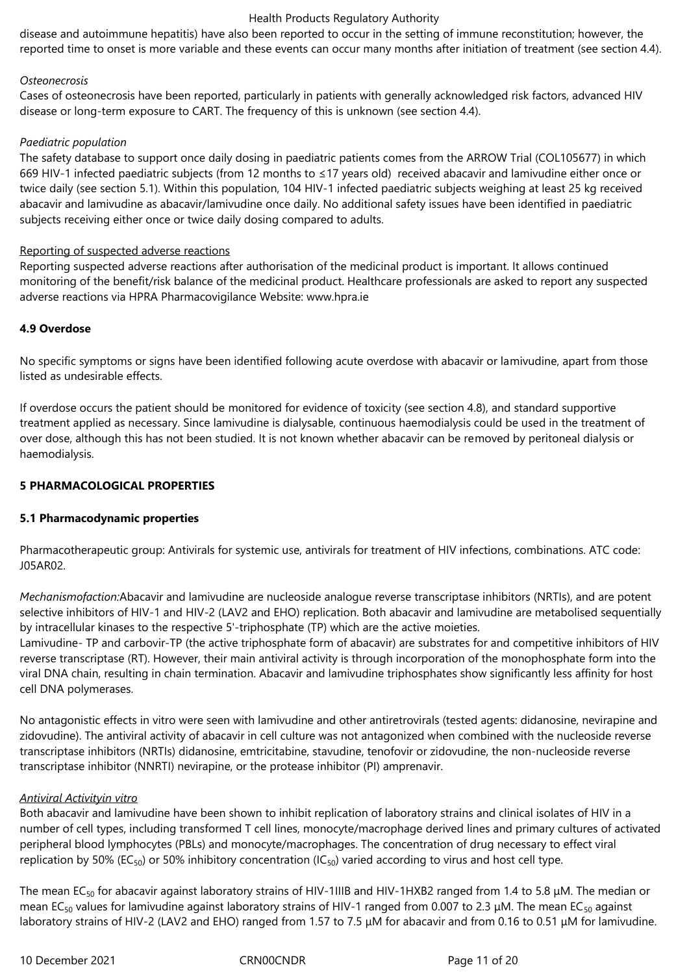disease and autoimmune hepatitis) have also been reported to occur in the setting of immune reconstitution; however, the reported time to onset is more variable and these events can occur many months after initiation of treatment (see section 4.4).

# *Osteonecrosis*

Cases of osteonecrosis have been reported, particularly in patients with generally acknowledged risk factors, advanced HIV disease or long-term exposure to CART. The frequency of this is unknown (see section 4.4).

# *Paediatric population*

The safety database to support once daily dosing in paediatric patients comes from the ARROW Trial (COL105677) in which 669 HIV-1 infected paediatric subjects (from 12 months to ≤17 years old) received abacavir and lamivudine either once or twice daily (see section 5.1). Within this population, 104 HIV-1 infected paediatric subjects weighing at least 25 kg received abacavir and lamivudine as abacavir/lamivudine once daily. No additional safety issues have been identified in paediatric subjects receiving either once or twice daily dosing compared to adults.

# Reporting of suspected adverse reactions

Reporting suspected adverse reactions after authorisation of the medicinal product is important. It allows continued monitoring of the benefit/risk balance of the medicinal product. Healthcare professionals are asked to report any suspected adverse reactions via HPRA Pharmacovigilance Website: www.hpra.ie

# **4.9 Overdose**

No specific symptoms or signs have been identified following acute overdose with abacavir or lamivudine, apart from those listed as undesirable effects.

If overdose occurs the patient should be monitored for evidence of toxicity (see section 4.8), and standard supportive treatment applied as necessary. Since lamivudine is dialysable, continuous haemodialysis could be used in the treatment of over dose, although this has not been studied. It is not known whether abacavir can be removed by peritoneal dialysis or haemodialysis.

# **5 PHARMACOLOGICAL PROPERTIES**

# **5.1 Pharmacodynamic properties**

Pharmacotherapeutic group: Antivirals for systemic use, antivirals for treatment of HIV infections, combinations. ATC code: J05AR02.

*Mechanismofaction:*Abacavir and lamivudine are nucleoside analogue reverse transcriptase inhibitors (NRTIs), and are potent selective inhibitors of HIV‑1 and HIV-2 (LAV2 and EHO) replication. Both abacavir and lamivudine are metabolised sequentially by intracellular kinases to the respective 5'-triphosphate (TP) which are the active moieties.

Lamivudine- TP and carbovir-TP (the active triphosphate form of abacavir) are substrates for and competitive inhibitors of HIV reverse transcriptase (RT). However, their main antiviral activity is through incorporation of the monophosphate form into the viral DNA chain, resulting in chain termination. Abacavir and lamivudine triphosphates show significantly less affinity for host cell DNA polymerases.

No antagonistic effects in vitro were seen with lamivudine and other antiretrovirals (tested agents: didanosine, nevirapine and zidovudine). The antiviral activity of abacavir in cell culture was not antagonized when combined with the nucleoside reverse transcriptase inhibitors (NRTIs) didanosine, emtricitabine, stavudine, tenofovir or zidovudine, the non-nucleoside reverse transcriptase inhibitor (NNRTI) nevirapine, or the protease inhibitor (PI) amprenavir.

## *Antiviral Activityin vitro*

Both abacavir and lamivudine have been shown to inhibit replication of laboratory strains and clinical isolates of HIV in a number of cell types, including transformed T cell lines, monocyte/macrophage derived lines and primary cultures of activated peripheral blood lymphocytes (PBLs) and monocyte/macrophages. The concentration of drug necessary to effect viral replication by 50% (EC<sub>50</sub>) or 50% inhibitory concentration (IC<sub>50</sub>) varied according to virus and host cell type.

The mean EC<sub>50</sub> for abacavir against laboratory strains of HIV-1IIIB and HIV-1HXB2 ranged from 1.4 to 5.8 μM. The median or mean EC<sub>50</sub> values for lamivudine against laboratory strains of HIV-1 ranged from 0.007 to 2.3 µM. The mean EC<sub>50</sub> against laboratory strains of HIV-2 (LAV2 and EHO) ranged from 1.57 to 7.5 μM for abacavir and from 0.16 to 0.51 μM for lamivudine.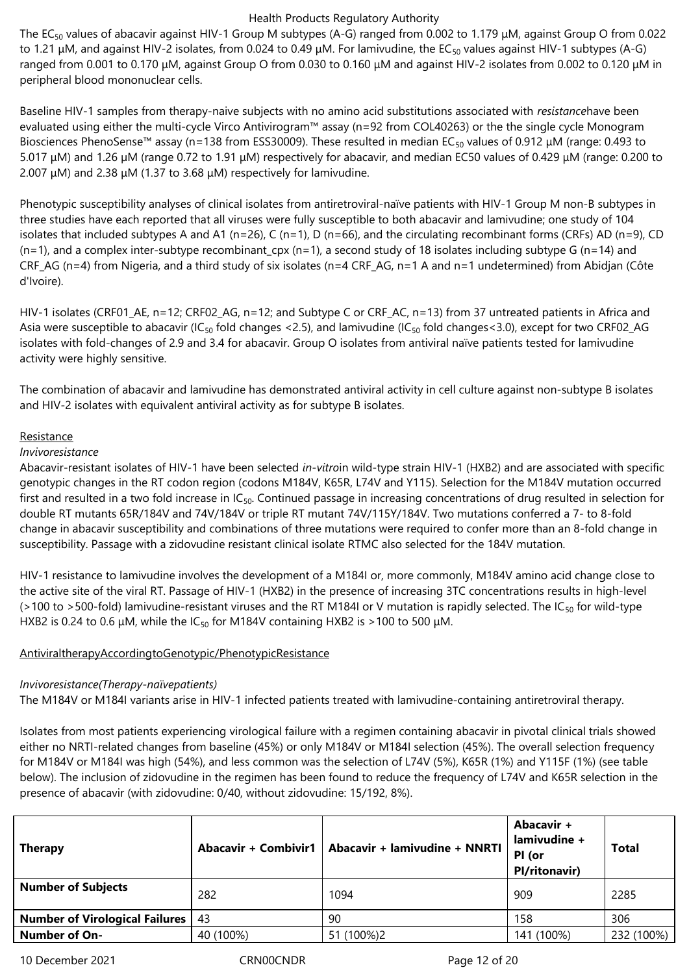The EC50 values of abacavir against HIV-1 Group M subtypes (A-G) ranged from 0.002 to 1.179 μM, against Group O from 0.022 to 1.21 μM, and against HIV-2 isolates, from 0.024 to 0.49 μM. For lamivudine, the EC<sub>50</sub> values against HIV-1 subtypes (A-G) ranged from 0.001 to 0.170 μM, against Group O from 0.030 to 0.160 μM and against HIV-2 isolates from 0.002 to 0.120 μM in peripheral blood mononuclear cells.

Baseline HIV-1 samples from therapy-naive subjects with no amino acid substitutions associated with *resistance*have been evaluated using either the multi-cycle Virco Antivirogram™ assay (n=92 from COL40263) or the the single cycle Monogram Biosciences PhenoSense™ assay (n=138 from ESS30009). These resulted in median EC<sub>50</sub> values of 0.912 μM (range: 0.493 to 5.017 μM) and 1.26 µM (range 0.72 to 1.91 μM) respectively for abacavir, and median EC50 values of 0.429 μM (range: 0.200 to 2.007 μM) and 2.38 μM (1.37 to 3.68 μM) respectively for lamivudine.

Phenotypic susceptibility analyses of clinical isolates from antiretroviral-naïve patients with HIV-1 Group M non-B subtypes in three studies have each reported that all viruses were fully susceptible to both abacavir and lamivudine; one study of 104 isolates that included subtypes A and A1 (n=26), C (n=1), D (n=66), and the circulating recombinant forms (CRFs) AD (n=9), CD  $(n=1)$ , and a complex inter-subtype recombinant\_cpx  $(n=1)$ , a second study of 18 isolates including subtype G  $(n=14)$  and CRF\_AG (n=4) from Nigeria, and a third study of six isolates (n=4 CRF\_AG, n=1 A and n=1 undetermined) from Abidjan (Côte d'Ivoire).

HIV-1 isolates (CRF01\_AE, n=12; CRF02\_AG, n=12; and Subtype C or CRF\_AC, n=13) from 37 untreated patients in Africa and Asia were susceptible to abacavir (IC<sub>50</sub> fold changes <2.5), and lamivudine (IC<sub>50</sub> fold changes <3.0), except for two CRF02\_AG isolates with fold-changes of 2.9 and 3.4 for abacavir. Group O isolates from antiviral naïve patients tested for lamivudine activity were highly sensitive.

The combination of abacavir and lamivudine has demonstrated antiviral activity in cell culture against non-subtype B isolates and HIV-2 isolates with equivalent antiviral activity as for subtype B isolates.

## **Resistance**

# *Invivoresistance*

Abacavir-resistant isolates of HIV-1 have been selected *in-vitro*in wild-type strain HIV-1 (HXB2) and are associated with specific genotypic changes in the RT codon region (codons M184V, K65R, L74V and Y115). Selection for the M184V mutation occurred first and resulted in a two fold increase in IC<sub>50</sub>. Continued passage in increasing concentrations of drug resulted in selection for double RT mutants 65R/184V and 74V/184V or triple RT mutant 74V/115Y/184V. Two mutations conferred a 7- to 8-fold change in abacavir susceptibility and combinations of three mutations were required to confer more than an 8-fold change in susceptibility. Passage with a zidovudine resistant clinical isolate RTMC also selected for the 184V mutation.

HIV-1 resistance to lamivudine involves the development of a M184I or, more commonly, M184V amino acid change close to the active site of the viral RT. Passage of HIV-1 (HXB2) in the presence of increasing 3TC concentrations results in high-level ( $>100$  to  $>500$ -fold) lamivudine-resistant viruses and the RT M184I or V mutation is rapidly selected. The IC<sub>50</sub> for wild-type HXB2 is 0.24 to 0.6  $\mu$ M, while the IC<sub>50</sub> for M184V containing HXB2 is >100 to 500  $\mu$ M.

# AntiviraltherapyAccordingtoGenotypic/PhenotypicResistance

# *Invivoresistance(Therapy-naïvepatients)*

The M184V or M184I variants arise in HIV-1 infected patients treated with lamivudine-containing antiretroviral therapy.

Isolates from most patients experiencing virological failure with a regimen containing abacavir in pivotal clinical trials showed either no NRTI-related changes from baseline (45%) or only M184V or M184I selection (45%). The overall selection frequency for M184V or M184I was high (54%), and less common was the selection of L74V (5%), K65R (1%) and Y115F (1%) (see table below). The inclusion of zidovudine in the regimen has been found to reduce the frequency of L74V and K65R selection in the presence of abacavir (with zidovudine: 0/40, without zidovudine: 15/192, 8%).

| <b>Therapy</b>                 | <b>Abacavir + Combivir1</b> | Abacavir + lamivudine + NNRTI | Abacavir +<br>lamivudine +<br>PI (or<br><b>Pl/ritonavir)</b> | Total      |
|--------------------------------|-----------------------------|-------------------------------|--------------------------------------------------------------|------------|
| <b>Number of Subjects</b>      | 282                         | 1094                          | 909                                                          | 2285       |
| Number of Virological Failures | 43                          | 90                            | 158                                                          | 306        |
| <b>Number of On-</b>           | 40 (100%)                   | 51 (100%)2                    | 141 (100%)                                                   | 232 (100%) |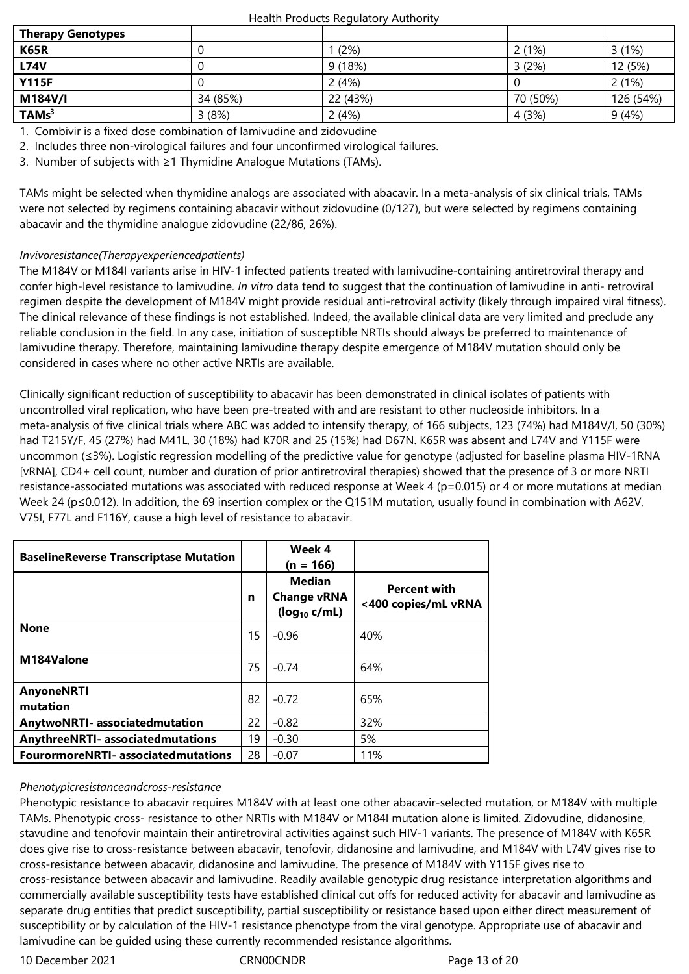| <b>Therapy Genotypes</b> |          |          |          |           |
|--------------------------|----------|----------|----------|-----------|
| <b>K65R</b>              |          | (2%)     | 2(1%)    | 3(1%)     |
| <b>L74V</b>              |          | 9(18%)   | 3(2%)    | 12 (5%)   |
| <b>Y115F</b>             |          | 2(4%)    |          | 2(1%)     |
| <b>M184V/I</b>           | 34 (85%) | 22 (43%) | 70 (50%) | 126 (54%) |
| TAMs <sup>3</sup>        | 3(8%)    | 2(4%)    | 4 (3%)   | 9(4%)     |

1. Combivir is a fixed dose combination of lamivudine and zidovudine

2. Includes three non-virological failures and four unconfirmed virological failures.

3. Number of subjects with ≥1 Thymidine Analogue Mutations (TAMs).

TAMs might be selected when thymidine analogs are associated with abacavir. In a meta-analysis of six clinical trials, TAMs were not selected by regimens containing abacavir without zidovudine (0/127), but were selected by regimens containing abacavir and the thymidine analogue zidovudine (22/86, 26%).

# *Invivoresistance(Therapyexperiencedpatients)*

The M184V or M184I variants arise in HIV-1 infected patients treated with lamivudine-containing antiretroviral therapy and confer high-level resistance to lamivudine. *In vitro* data tend to suggest that the continuation of lamivudine in anti- retroviral regimen despite the development of M184V might provide residual anti-retroviral activity (likely through impaired viral fitness). The clinical relevance of these findings is not established. Indeed, the available clinical data are very limited and preclude any reliable conclusion in the field. In any case, initiation of susceptible NRTIs should always be preferred to maintenance of lamivudine therapy. Therefore, maintaining lamivudine therapy despite emergence of M184V mutation should only be considered in cases where no other active NRTIs are available.

Clinically significant reduction of susceptibility to abacavir has been demonstrated in clinical isolates of patients with uncontrolled viral replication, who have been pre-treated with and are resistant to other nucleoside inhibitors. In a meta-analysis of five clinical trials where ABC was added to intensify therapy, of 166 subjects, 123 (74%) had M184V/I, 50 (30%) had T215Y/F, 45 (27%) had M41L, 30 (18%) had K70R and 25 (15%) had D67N. K65R was absent and L74V and Y115F were uncommon (≤3%). Logistic regression modelling of the predictive value for genotype (adjusted for baseline plasma HIV-1RNA [vRNA], CD4+ cell count, number and duration of prior antiretroviral therapies) showed that the presence of 3 or more NRTI resistance-associated mutations was associated with reduced response at Week 4 (p=0.015) or 4 or more mutations at median Week 24 (p≤0.012). In addition, the 69 insertion complex or the Q151M mutation, usually found in combination with A62V, V75I, F77L and F116Y, cause a high level of resistance to abacavir.

| <b>BaselineReverse Transcriptase Mutation</b> |    | Week 4<br>$(n = 166)$                                    |                                            |
|-----------------------------------------------|----|----------------------------------------------------------|--------------------------------------------|
|                                               | n  | <b>Median</b><br><b>Change vRNA</b><br>$(log_{10} c/mL)$ | <b>Percent with</b><br><400 copies/mL vRNA |
| <b>None</b>                                   | 15 | $-0.96$                                                  | 40%                                        |
| M184Valone                                    | 75 | $-0.74$                                                  | 64%                                        |
| <b>AnyoneNRTI</b><br>mutation                 | 82 | $-0.72$                                                  | 65%                                        |
| <b>AnytwoNRTI- associatedmutation</b>         | 22 | $-0.82$                                                  | 32%                                        |
| <b>AnythreeNRTI- associatedmutations</b>      | 19 | $-0.30$                                                  | 5%                                         |
| <b>FourormoreNRTI- associatedmutations</b>    | 28 | $-0.07$                                                  | 11%                                        |

## *Phenotypicresistanceandcross-resistance*

Phenotypic resistance to abacavir requires M184V with at least one other abacavir-selected mutation, or M184V with multiple TAMs. Phenotypic cross- resistance to other NRTIs with M184V or M184I mutation alone is limited. Zidovudine, didanosine, stavudine and tenofovir maintain their antiretroviral activities against such HIV-1 variants. The presence of M184V with K65R does give rise to cross‑resistance between abacavir, tenofovir, didanosine and lamivudine, and M184V with L74V gives rise to cross-resistance between abacavir, didanosine and lamivudine. The presence of M184V with Y115F gives rise to cross-resistance between abacavir and lamivudine. Readily available genotypic drug resistance interpretation algorithms and commercially available susceptibility tests have established clinical cut offs for reduced activity for abacavir and lamivudine as separate drug entities that predict susceptibility, partial susceptibility or resistance based upon either direct measurement of susceptibility or by calculation of the HIV-1 resistance phenotype from the viral genotype. Appropriate use of abacavir and lamivudine can be guided using these currently recommended resistance algorithms.

10 December 2021 CRN00CNDR Page 13 of 20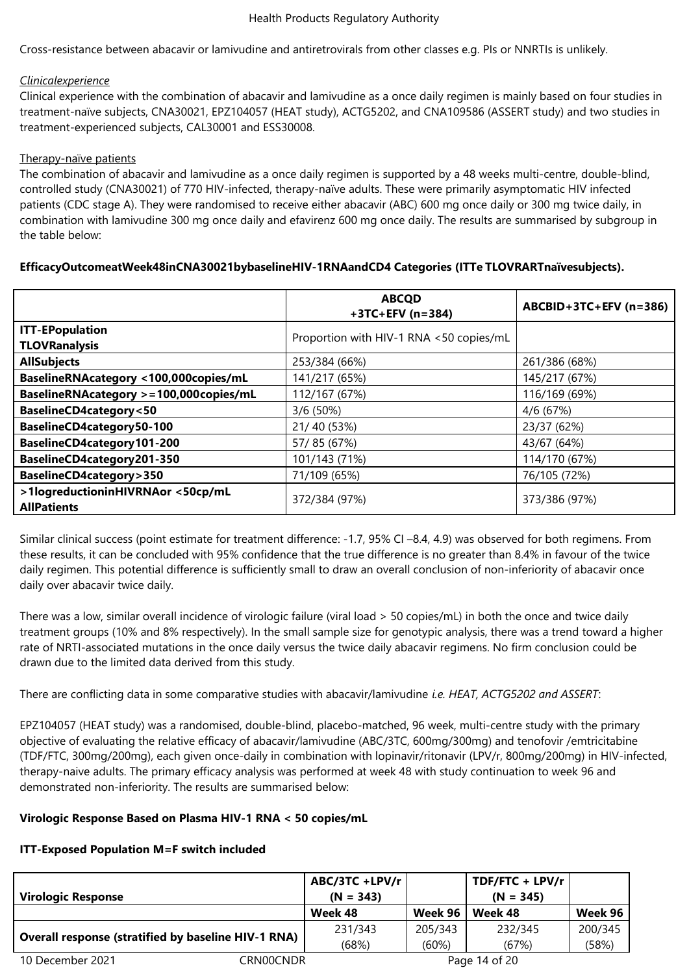Cross-resistance between abacavir or lamivudine and antiretrovirals from other classes e.g. PIs or NNRTIs is unlikely.

## *Clinicalexperience*

Clinical experience with the combination of abacavir and lamivudine as a once daily regimen is mainly based on four studies in treatment-naïve subjects, CNA30021, EPZ104057 (HEAT study), ACTG5202, and CNA109586 (ASSERT study) and two studies in treatment-experienced subjects, CAL30001 and ESS30008.

## Therapy-naïve patients

The combination of abacavir and lamivudine as a once daily regimen is supported by a 48 weeks multi-centre, double-blind, controlled study (CNA30021) of 770 HIV-infected, therapy-naïve adults. These were primarily asymptomatic HIV infected patients (CDC stage A). They were randomised to receive either abacavir (ABC) 600 mg once daily or 300 mg twice daily, in combination with lamivudine 300 mg once daily and efavirenz 600 mg once daily. The results are summarised by subgroup in the table below:

# **EfficacyOutcomeatWeek48inCNA30021bybaselineHIV-1RNAandCD4 Categories (ITTe TLOVRARTnaïvesubjects).**

|                                                         | <b>ABCQD</b><br>$+3TC+EFV(n=384)$       | ABCBID+3TC+EFV (n=386) |
|---------------------------------------------------------|-----------------------------------------|------------------------|
| <b>ITT-EPopulation</b><br><b>TLOVRanalysis</b>          | Proportion with HIV-1 RNA <50 copies/mL |                        |
| <b>AllSubjects</b>                                      | 253/384 (66%)                           | 261/386 (68%)          |
| BaselineRNAcategory <100,000copies/mL                   | 141/217 (65%)                           | 145/217 (67%)          |
| BaselineRNAcategory >=100,000copies/mL                  | 112/167 (67%)                           | 116/169 (69%)          |
| <b>BaselineCD4category&lt;50</b>                        | 3/6(50%)                                | 4/6 (67%)              |
| BaselineCD4category50-100                               | 21/40 (53%)                             | 23/37 (62%)            |
| BaselineCD4category101-200                              | 57/85 (67%)                             | 43/67 (64%)            |
| BaselineCD4category201-350                              | 101/143 (71%)                           | 114/170 (67%)          |
| <b>BaselineCD4category&gt;350</b>                       | 71/109 (65%)                            | 76/105 (72%)           |
| >1logreductioninHIVRNAor <50cp/mL<br><b>AllPatients</b> | 372/384 (97%)                           | 373/386 (97%)          |

Similar clinical success (point estimate for treatment difference: -1.7, 95% CI –8.4, 4.9) was observed for both regimens. From these results, it can be concluded with 95% confidence that the true difference is no greater than 8.4% in favour of the twice daily regimen. This potential difference is sufficiently small to draw an overall conclusion of non-inferiority of abacavir once daily over abacavir twice daily.

There was a low, similar overall incidence of virologic failure (viral load > 50 copies/mL) in both the once and twice daily treatment groups (10% and 8% respectively). In the small sample size for genotypic analysis, there was a trend toward a higher rate of NRTI-associated mutations in the once daily versus the twice daily abacavir regimens. No firm conclusion could be drawn due to the limited data derived from this study.

There are conflicting data in some comparative studies with abacavir/lamivudine *i.e. HEAT, ACTG5202 and ASSERT*:

EPZ104057 (HEAT study) was a randomised, double-blind, placebo-matched, 96 week, multi-centre study with the primary objective of evaluating the relative efficacy of abacavir/lamivudine (ABC/3TC, 600mg/300mg) and tenofovir /emtricitabine (TDF/FTC, 300mg/200mg), each given once-daily in combination with lopinavir/ritonavir (LPV/r, 800mg/200mg) in HIV-infected, therapy-naive adults. The primary efficacy analysis was performed at week 48 with study continuation to week 96 and demonstrated non-inferiority. The results are summarised below:

# **Virologic Response Based on Plasma HIV-1 RNA < 50 copies/mL**

## **ITT-Exposed Population M=F switch included**

| <b>Virologic Response</b>                                  |           | ABC/3TC +LPV/r<br>$(N = 343)$ |         | TDF/FTC + LPV/r<br>$(N = 345)$ |         |
|------------------------------------------------------------|-----------|-------------------------------|---------|--------------------------------|---------|
|                                                            |           | Week 48                       | Week 96 | Week 48                        | Week 96 |
| <b>Overall response (stratified by baseline HIV-1 RNA)</b> |           | 231/343                       | 205/343 | 232/345                        | 200/345 |
|                                                            |           | (68%)                         | (60%)   | (67%)                          | (58%)   |
| 10 December 2021                                           | CRN00CNDR |                               |         | Page 14 of 20                  |         |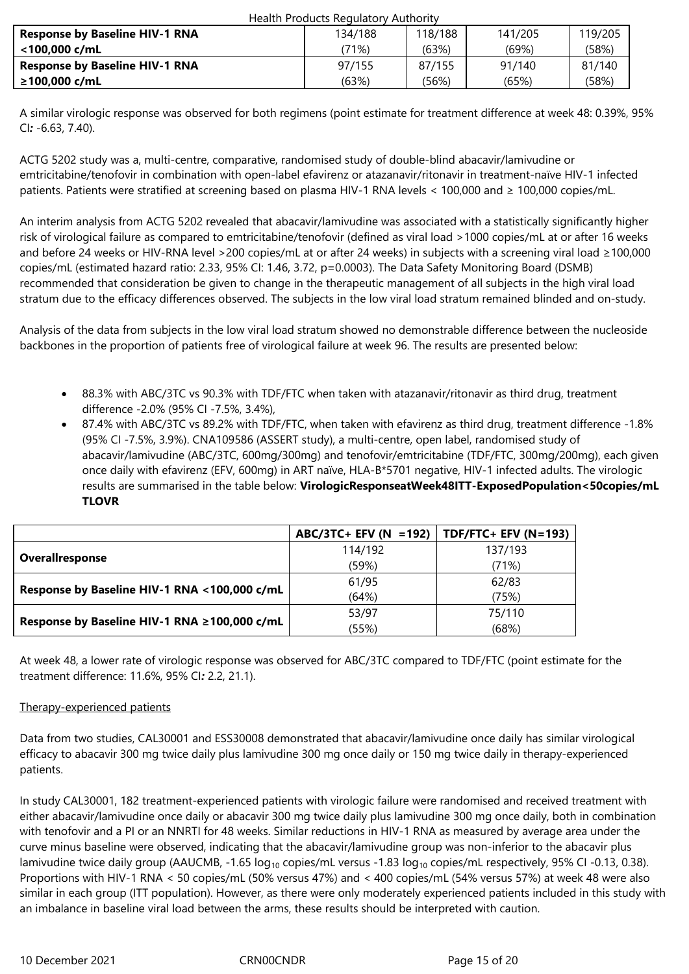| <b>Health Products Regulatory Authority</b> |         |         |         |         |  |
|---------------------------------------------|---------|---------|---------|---------|--|
| <b>Response by Baseline HIV-1 RNA</b>       | 134/188 | 118/188 | 141/205 | 119/205 |  |
| <100.000 c/mL                               | ′71%)   | (63%)   | (69%)   | (58%)   |  |
| <b>Response by Baseline HIV-1 RNA</b>       | 97/155  | 87/155  | 91/140  | 81/140  |  |
| ≥100.000 c/mL                               | (63%)   | (56%)   | (65%)   | (58%)   |  |

A similar virologic response was observed for both regimens (point estimate for treatment difference at week 48: 0.39%, 95% CI*:* -6.63, 7.40).

ACTG 5202 study was a, multi-centre, comparative, randomised study of double-blind abacavir/lamivudine or emtricitabine/tenofovir in combination with open-label efavirenz or atazanavir/ritonavir in treatment-naïve HIV-1 infected patients. Patients were stratified at screening based on plasma HIV-1 RNA levels < 100,000 and ≥ 100,000 copies/mL.

An interim analysis from ACTG 5202 revealed that abacavir/lamivudine was associated with a statistically significantly higher risk of virological failure as compared to emtricitabine/tenofovir (defined as viral load >1000 copies/mL at or after 16 weeks and before 24 weeks or HIV-RNA level >200 copies/mL at or after 24 weeks) in subjects with a screening viral load ≥100,000 copies/mL (estimated hazard ratio: 2.33, 95% CI: 1.46, 3.72, p=0.0003). The Data Safety Monitoring Board (DSMB) recommended that consideration be given to change in the therapeutic management of all subjects in the high viral load stratum due to the efficacy differences observed. The subjects in the low viral load stratum remained blinded and on-study.

Analysis of the data from subjects in the low viral load stratum showed no demonstrable difference between the nucleoside backbones in the proportion of patients free of virological failure at week 96. The results are presented below:

- 88.3% with ABC/3TC vs 90.3% with TDF/FTC when taken with atazanavir/ritonavir as third drug, treatment difference -2.0% (95% CI -7.5%, 3.4%),
- 87.4% with ABC/3TC vs 89.2% with TDF/FTC, when taken with efavirenz as third drug, treatment difference -1.8% (95% CI -7.5%, 3.9%). CNA109586 (ASSERT study), a multi-centre, open label, randomised study of abacavir/lamivudine (ABC/3TC, 600mg/300mg) and tenofovir/emtricitabine (TDF/FTC, 300mg/200mg), each given once daily with efavirenz (EFV, 600mg) in ART naïve, HLA-B\*5701 negative, HIV-1 infected adults. The virologic results are summarised in the table below: **VirologicResponseatWeek48ITT-ExposedPopulation<50copies/mL TLOVR**

|                                              | $ABC/3TC$ + EFV (N = 192)   TDF/FTC+ EFV (N=193) |         |  |
|----------------------------------------------|--------------------------------------------------|---------|--|
|                                              | 114/192                                          | 137/193 |  |
| Overallresponse                              | (59%)                                            | (71%)   |  |
|                                              | 61/95                                            | 62/83   |  |
| Response by Baseline HIV-1 RNA <100,000 c/mL | (64%)                                            | (75%)   |  |
|                                              | 53/97                                            | 75/110  |  |
| Response by Baseline HIV-1 RNA ≥100,000 c/mL | (55%)                                            | (68%)   |  |

At week 48, a lower rate of virologic response was observed for ABC/3TC compared to TDF/FTC (point estimate for the treatment difference: 11.6%, 95% CI*:* 2.2, 21.1).

# Therapy-experienced patients

Data from two studies, CAL30001 and ESS30008 demonstrated that abacavir/lamivudine once daily has similar virological efficacy to abacavir 300 mg twice daily plus lamivudine 300 mg once daily or 150 mg twice daily in therapy-experienced patients.

In study CAL30001, 182 treatment-experienced patients with virologic failure were randomised and received treatment with either abacavir/lamivudine once daily or abacavir 300 mg twice daily plus lamivudine 300 mg once daily, both in combination with tenofovir and a PI or an NNRTI for 48 weeks. Similar reductions in HIV-1 RNA as measured by average area under the curve minus baseline were observed, indicating that the abacavir/lamivudine group was non-inferior to the abacavir plus lamivudine twice daily group (AAUCMB, -1.65  $log_{10}$  copies/mL versus -1.83  $log_{10}$  copies/mL respectively, 95% CI -0.13, 0.38). Proportions with HIV-1 RNA < 50 copies/mL (50% versus 47%) and < 400 copies/mL (54% versus 57%) at week 48 were also similar in each group (ITT population). However, as there were only moderately experienced patients included in this study with an imbalance in baseline viral load between the arms, these results should be interpreted with caution.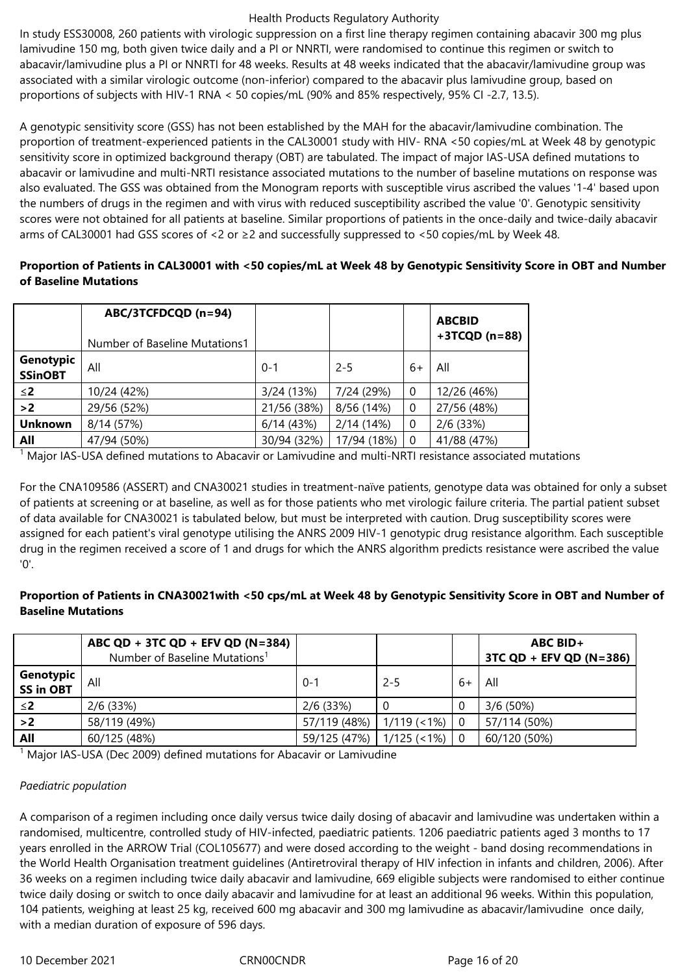In study ESS30008, 260 patients with virologic suppression on a first line therapy regimen containing abacavir 300 mg plus lamivudine 150 mg, both given twice daily and a PI or NNRTI, were randomised to continue this regimen or switch to abacavir/lamivudine plus a PI or NNRTI for 48 weeks. Results at 48 weeks indicated that the abacavir/lamivudine group was associated with a similar virologic outcome (non-inferior) compared to the abacavir plus lamivudine group, based on proportions of subjects with HIV-1 RNA < 50 copies/mL (90% and 85% respectively, 95% CI -2.7, 13.5).

A genotypic sensitivity score (GSS) has not been established by the MAH for the abacavir/lamivudine combination. The proportion of treatment-experienced patients in the CAL30001 study with HIV- RNA <50 copies/mL at Week 48 by genotypic sensitivity score in optimized background therapy (OBT) are tabulated. The impact of major IAS-USA defined mutations to abacavir or lamivudine and multi-NRTI resistance associated mutations to the number of baseline mutations on response was also evaluated. The GSS was obtained from the Monogram reports with susceptible virus ascribed the values '1-4' based upon the numbers of drugs in the regimen and with virus with reduced susceptibility ascribed the value '0'. Genotypic sensitivity scores were not obtained for all patients at baseline. Similar proportions of patients in the once-daily and twice-daily abacavir arms of CAL30001 had GSS scores of <2 or ≥2 and successfully suppressed to <50 copies/mL by Week 48.

# **Proportion of Patients in CAL30001 with <50 copies/mL at Week 48 by Genotypic Sensitivity Score in OBT and Number of Baseline Mutations**

|                             | ABC/3TCFDCQD (n=94)<br>Number of Baseline Mutations1 |             |             |          | <b>ABCBID</b><br>$+3TCQD(n=88)$ |
|-----------------------------|------------------------------------------------------|-------------|-------------|----------|---------------------------------|
| Genotypic<br><b>SSinOBT</b> | All                                                  | $0 - 1$     | $2 - 5$     | $6+$     | All                             |
| $\leq$ 2                    | 10/24 (42%)                                          | 3/24(13%)   | 7/24 (29%)  | 0        | 12/26 (46%)                     |
| >2                          | 29/56 (52%)                                          | 21/56 (38%) | 8/56 (14%)  | 0        | 27/56 (48%)                     |
| <b>Unknown</b>              | 8/14 (57%)                                           | 6/14(43%)   | 2/14(14%)   | 0        | $2/6$ (33%)                     |
| All                         | 47/94 (50%)                                          | 30/94 (32%) | 17/94 (18%) | $\Omega$ | 41/88 (47%)                     |

<sup>1</sup> Major IAS-USA defined mutations to Abacavir or Lamivudine and multi-NRTI resistance associated mutations

For the CNA109586 (ASSERT) and CNA30021 studies in treatment-naïve patients, genotype data was obtained for only a subset of patients at screening or at baseline, as well as for those patients who met virologic failure criteria. The partial patient subset of data available for CNA30021 is tabulated below, but must be interpreted with caution. Drug susceptibility scores were assigned for each patient's viral genotype utilising the ANRS 2009 HIV-1 genotypic drug resistance algorithm. Each susceptible drug in the regimen received a score of 1 and drugs for which the ANRS algorithm predicts resistance were ascribed the value '0'.

# **Proportion of Patients in CNA30021with <50 cps/mL at Week 48 by Genotypic Sensitivity Score in OBT and Number of Baseline Mutations**

|                               | ABC QD + 3TC QD + EFV QD (N=384)<br>Number of Baseline Mutations <sup>1</sup> |                            |             |                | $ABC$ BID+<br>$3TC$ QD + EFV QD (N=386) |
|-------------------------------|-------------------------------------------------------------------------------|----------------------------|-------------|----------------|-----------------------------------------|
| Genotypic<br><b>SS in OBT</b> | All                                                                           | 0-1                        | $2 - 5$     | $6+$           | All                                     |
| $\leq$ 2                      | $2/6$ (33%)                                                                   | $2/6$ (33%)                |             | $\theta$       | $3/6(50\%)$                             |
| >2                            | 58/119 (49%)                                                                  | 57/119 (48%)               | 1/119 (<1%) | $\theta$       | 57/114 (50%)                            |
| All                           | 60/125 (48%)                                                                  | 59/125 (47%)   1/125 (<1%) |             | $\overline{0}$ | 60/120 (50%)                            |

<sup>1</sup> Major IAS-USA (Dec 2009) defined mutations for Abacavir or Lamivudine

## *Paediatric population*

A comparison of a regimen including once daily versus twice daily dosing of abacavir and lamivudine was undertaken within a randomised, multicentre, controlled study of HIV-infected, paediatric patients. 1206 paediatric patients aged 3 months to 17 years enrolled in the ARROW Trial (COL105677) and were dosed according to the weight - band dosing recommendations in the World Health Organisation treatment guidelines (Antiretroviral therapy of HIV infection in infants and children, 2006). After 36 weeks on a regimen including twice daily abacavir and lamivudine, 669 eligible subjects were randomised to either continue twice daily dosing or switch to once daily abacavir and lamivudine for at least an additional 96 weeks. Within this population, 104 patients, weighing at least 25 kg, received 600 mg abacavir and 300 mg lamivudine as abacavir/lamivudine once daily, with a median duration of exposure of 596 days.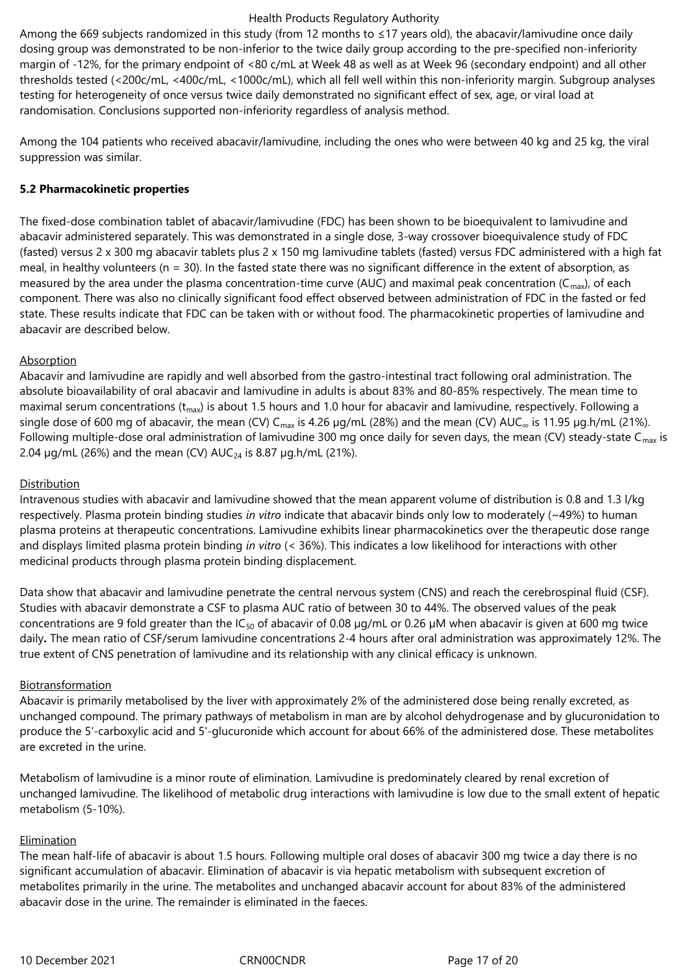Among the 669 subjects randomized in this study (from 12 months to ≤17 years old), the abacavir/lamivudine once daily dosing group was demonstrated to be non-inferior to the twice daily group according to the pre-specified non-inferiority margin of -12%, for the primary endpoint of <80 c/mL at Week 48 as well as at Week 96 (secondary endpoint) and all other thresholds tested (<200c/mL, <400c/mL, <1000c/mL), which all fell well within this non-inferiority margin. Subgroup analyses testing for heterogeneity of once versus twice daily demonstrated no significant effect of sex, age, or viral load at randomisation. Conclusions supported non-inferiority regardless of analysis method.

Among the 104 patients who received abacavir/lamivudine, including the ones who were between 40 kg and 25 kg, the viral suppression was similar.

# **5.2 Pharmacokinetic properties**

The fixed-dose combination tablet of abacavir/lamivudine (FDC) has been shown to be bioequivalent to lamivudine and abacavir administered separately. This was demonstrated in a single dose, 3-way crossover bioequivalence study of FDC (fasted) versus 2 x 300 mg abacavir tablets plus 2 x 150 mg lamivudine tablets (fasted) versus FDC administered with a high fat meal, in healthy volunteers ( $n = 30$ ). In the fasted state there was no significant difference in the extent of absorption, as measured by the area under the plasma concentration-time curve (AUC) and maximal peak concentration ( $C_{\text{max}}$ ), of each component. There was also no clinically significant food effect observed between administration of FDC in the fasted or fed state. These results indicate that FDC can be taken with or without food. The pharmacokinetic properties of lamivudine and abacavir are described below.

# Absorption

Abacavir and lamivudine are rapidly and well absorbed from the gastro-intestinal tract following oral administration. The absolute bioavailability of oral abacavir and lamivudine in adults is about 83% and 80-85% respectively. The mean time to maximal serum concentrations ( $t_{max}$ ) is about 1.5 hours and 1.0 hour for abacavir and lamivudine, respectively. Following a single dose of 600 mg of abacavir, the mean (CV) C<sub>max</sub> is 4.26 µg/mL (28%) and the mean (CV) AUC<sub>∞</sub> is 11.95 µg.h/mL (21%). Following multiple-dose oral administration of lamivudine 300 mg once daily for seven days, the mean (CV) steady-state  $C_{\text{max}}$  is 2.04  $\mu$ g/mL (26%) and the mean (CV) AUC<sub>24</sub> is 8.87  $\mu$ g.h/mL (21%).

# Distribution

Intravenous studies with abacavir and lamivudine showed that the mean apparent volume of distribution is 0.8 and 1.3 l/kg respectively. Plasma protein binding studies *in vitro* indicate that abacavir binds only low to moderately (~49%) to human plasma proteins at therapeutic concentrations. Lamivudine exhibits linear pharmacokinetics over the therapeutic dose range and displays limited plasma protein binding *in vitro* (< 36%). This indicates a low likelihood for interactions with other medicinal products through plasma protein binding displacement.

Data show that abacavir and lamivudine penetrate the central nervous system (CNS) and reach the cerebrospinal fluid (CSF). Studies with abacavir demonstrate a CSF to plasma AUC ratio of between 30 to 44%. The observed values of the peak concentrations are 9 fold greater than the IC<sub>50</sub> of abacavir of 0.08  $\mu$ g/mL or 0.26  $\mu$ M when abacavir is given at 600 mg twice daily**.** The mean ratio of CSF/serum lamivudine concentrations 2-4 hours after oral administration was approximately 12%. The true extent of CNS penetration of lamivudine and its relationship with any clinical efficacy is unknown.

## Biotransformation

Abacavir is primarily metabolised by the liver with approximately 2% of the administered dose being renally excreted, as unchanged compound. The primary pathways of metabolism in man are by alcohol dehydrogenase and by glucuronidation to produce the 5'-carboxylic acid and 5'-glucuronide which account for about 66% of the administered dose. These metabolites are excreted in the urine.

Metabolism of lamivudine is a minor route of elimination. Lamivudine is predominately cleared by renal excretion of unchanged lamivudine. The likelihood of metabolic drug interactions with lamivudine is low due to the small extent of hepatic metabolism (5-10%).

## Elimination

The mean half-life of abacavir is about 1.5 hours. Following multiple oral doses of abacavir 300 mg twice a day there is no significant accumulation of abacavir. Elimination of abacavir is via hepatic metabolism with subsequent excretion of metabolites primarily in the urine. The metabolites and unchanged abacavir account for about 83% of the administered abacavir dose in the urine. The remainder is eliminated in the faeces.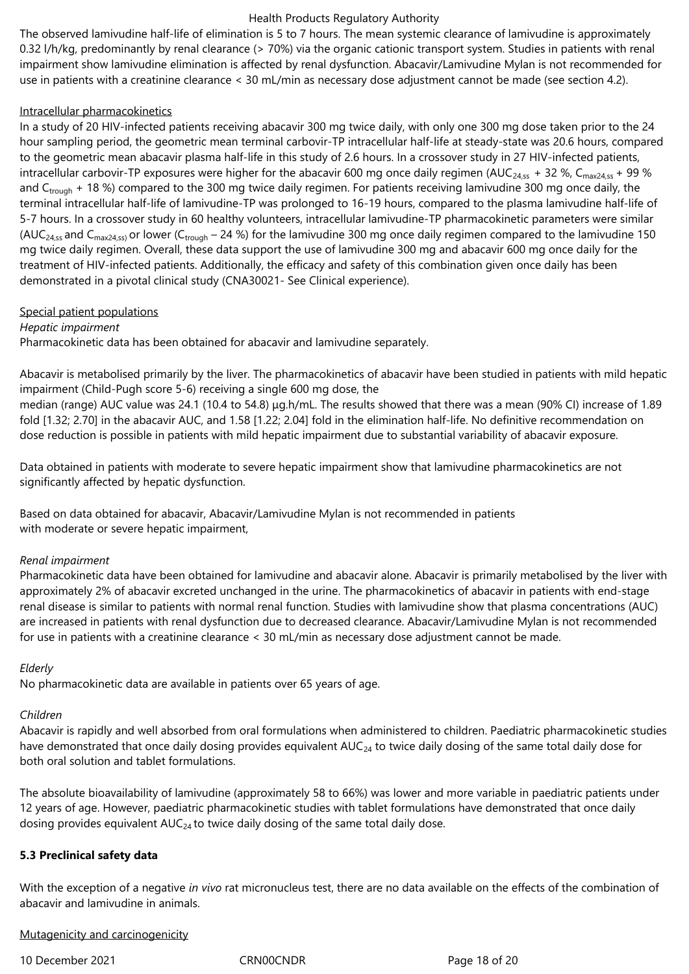The observed lamivudine half-life of elimination is 5 to 7 hours. The mean systemic clearance of lamivudine is approximately 0.32 l/h/kg, predominantly by renal clearance (> 70%) via the organic cationic transport system. Studies in patients with renal impairment show lamivudine elimination is affected by renal dysfunction. Abacavir/Lamivudine Mylan is not recommended for use in patients with a creatinine clearance < 30 mL/min as necessary dose adjustment cannot be made (see section 4.2).

# Intracellular pharmacokinetics

In a study of 20 HIV-infected patients receiving abacavir 300 mg twice daily, with only one 300 mg dose taken prior to the 24 hour sampling period, the geometric mean terminal carbovir-TP intracellular half-life at steady-state was 20.6 hours, compared to the geometric mean abacavir plasma half-life in this study of 2.6 hours. In a crossover study in 27 HIV-infected patients, intracellular carbovir-TP exposures were higher for the abacavir 600 mg once daily regimen (AUC<sub>24,55</sub> + 32 %, C<sub>max24,55</sub> + 99 %) and  $C_{\text{trough}}$  + 18 %) compared to the 300 mg twice daily regimen. For patients receiving lamivudine 300 mg once daily, the terminal intracellular half-life of lamivudine-TP was prolonged to 16-19 hours, compared to the plasma lamivudine half-life of 5-7 hours. In a crossover study in 60 healthy volunteers, intracellular lamivudine-TP pharmacokinetic parameters were similar (AUC<sub>24,ss</sub> and C<sub>max24,ss</sub>) or lower (C<sub>trough</sub> – 24 %) for the lamivudine 300 mg once daily regimen compared to the lamivudine 150 mg twice daily regimen. Overall, these data support the use of lamivudine 300 mg and abacavir 600 mg once daily for the treatment of HIV-infected patients. Additionally, the efficacy and safety of this combination given once daily has been demonstrated in a pivotal clinical study (CNA30021- See Clinical experience).

# Special patient populations

*Hepatic impairment*

Pharmacokinetic data has been obtained for abacavir and lamivudine separately.

Abacavir is metabolised primarily by the liver. The pharmacokinetics of abacavir have been studied in patients with mild hepatic impairment (Child-Pugh score 5-6) receiving a single 600 mg dose, the

median (range) AUC value was 24.1 (10.4 to 54.8) μg.h/mL. The results showed that there was a mean (90% CI) increase of 1.89 fold [1.32; 2.70] in the abacavir AUC, and 1.58 [1.22; 2.04] fold in the elimination half-life. No definitive recommendation on dose reduction is possible in patients with mild hepatic impairment due to substantial variability of abacavir exposure.

Data obtained in patients with moderate to severe hepatic impairment show that lamivudine pharmacokinetics are not significantly affected by hepatic dysfunction.

Based on data obtained for abacavir, Abacavir/Lamivudine Mylan is not recommended in patients with moderate or severe hepatic impairment,

## *Renal impairment*

Pharmacokinetic data have been obtained for lamivudine and abacavir alone. Abacavir is primarily metabolised by the liver with approximately 2% of abacavir excreted unchanged in the urine. The pharmacokinetics of abacavir in patients with end-stage renal disease is similar to patients with normal renal function. Studies with lamivudine show that plasma concentrations (AUC) are increased in patients with renal dysfunction due to decreased clearance. Abacavir/Lamivudine Mylan is not recommended for use in patients with a creatinine clearance < 30 mL/min as necessary dose adjustment cannot be made.

# *Elderly*

No pharmacokinetic data are available in patients over 65 years of age.

## *Children*

Abacavir is rapidly and well absorbed from oral formulations when administered to children. Paediatric pharmacokinetic studies have demonstrated that once daily dosing provides equivalent  $AUC_{24}$  to twice daily dosing of the same total daily dose for both oral solution and tablet formulations.

The absolute bioavailability of lamivudine (approximately 58 to 66%) was lower and more variable in paediatric patients under 12 years of age. However, paediatric pharmacokinetic studies with tablet formulations have demonstrated that once daily dosing provides equivalent  $AUC_{24}$  to twice daily dosing of the same total daily dose.

# **5.3 Preclinical safety data**

With the exception of a negative *in vivo* rat micronucleus test, there are no data available on the effects of the combination of abacavir and lamivudine in animals.

## Mutagenicity and carcinogenicity

10 December 2021 CRN00CNDR Page 18 of 20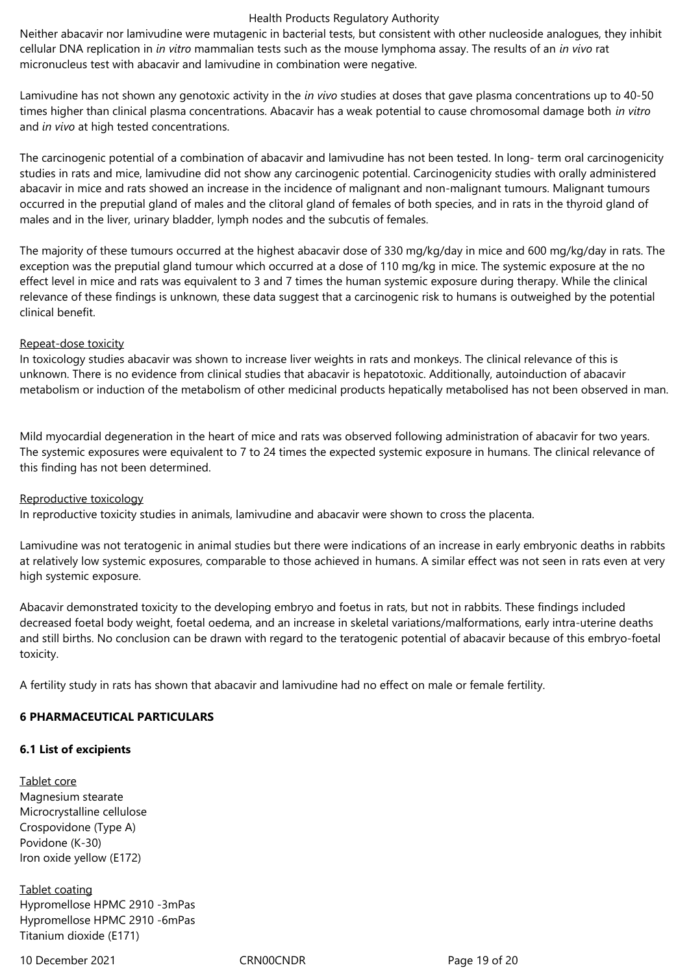Neither abacavir nor lamivudine were mutagenic in bacterial tests, but consistent with other nucleoside analogues, they inhibit cellular DNA replication in *in vitro* mammalian tests such as the mouse lymphoma assay. The results of an *in vivo* rat micronucleus test with abacavir and lamivudine in combination were negative.

Lamivudine has not shown any genotoxic activity in the *in vivo* studies at doses that gave plasma concentrations up to 40-50 times higher than clinical plasma concentrations. Abacavir has a weak potential to cause chromosomal damage both *in vitro*  and *in vivo* at high tested concentrations.

The carcinogenic potential of a combination of abacavir and lamivudine has not been tested. In long- term oral carcinogenicity studies in rats and mice, lamivudine did not show any carcinogenic potential. Carcinogenicity studies with orally administered abacavir in mice and rats showed an increase in the incidence of malignant and non-malignant tumours. Malignant tumours occurred in the preputial gland of males and the clitoral gland of females of both species, and in rats in the thyroid gland of males and in the liver, urinary bladder, lymph nodes and the subcutis of females.

The majority of these tumours occurred at the highest abacavir dose of 330 mg/kg/day in mice and 600 mg/kg/day in rats. The exception was the preputial gland tumour which occurred at a dose of 110 mg/kg in mice. The systemic exposure at the no effect level in mice and rats was equivalent to 3 and 7 times the human systemic exposure during therapy. While the clinical relevance of these findings is unknown, these data suggest that a carcinogenic risk to humans is outweighed by the potential clinical benefit.

# Repeat-dose toxicity

In toxicology studies abacavir was shown to increase liver weights in rats and monkeys. The clinical relevance of this is unknown. There is no evidence from clinical studies that abacavir is hepatotoxic. Additionally, autoinduction of abacavir metabolism or induction of the metabolism of other medicinal products hepatically metabolised has not been observed in man.

Mild myocardial degeneration in the heart of mice and rats was observed following administration of abacavir for two years. The systemic exposures were equivalent to 7 to 24 times the expected systemic exposure in humans. The clinical relevance of this finding has not been determined.

## Reproductive toxicology

In reproductive toxicity studies in animals, lamivudine and abacavir were shown to cross the placenta.

Lamivudine was not teratogenic in animal studies but there were indications of an increase in early embryonic deaths in rabbits at relatively low systemic exposures, comparable to those achieved in humans. A similar effect was not seen in rats even at very high systemic exposure.

Abacavir demonstrated toxicity to the developing embryo and foetus in rats, but not in rabbits. These findings included decreased foetal body weight, foetal oedema, and an increase in skeletal variations/malformations, early intra-uterine deaths and still births. No conclusion can be drawn with regard to the teratogenic potential of abacavir because of this embryo-foetal toxicity.

A fertility study in rats has shown that abacavir and lamivudine had no effect on male or female fertility.

# **6 PHARMACEUTICAL PARTICULARS**

## **6.1 List of excipients**

Tablet core Magnesium stearate Microcrystalline cellulose Crospovidone (Type A) Povidone (K-30) Iron oxide yellow (E172)

Tablet coating Hypromellose HPMC 2910 -3mPas Hypromellose HPMC 2910 -6mPas Titanium dioxide (E171)

10 December 2021 CRN00CNDR Page 19 of 20